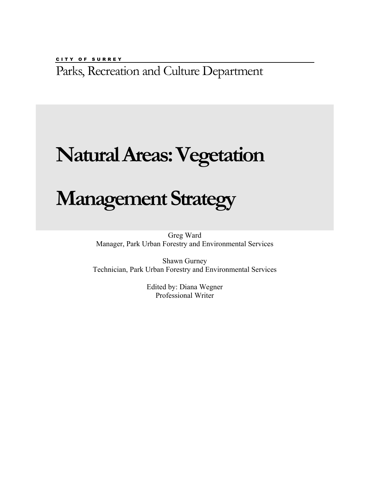CITY OF SURREY Parks, Recreation and Culture Department

# **Natural Areas: Vegetation**

# **Management Strategy**

Greg Ward Manager, Park Urban Forestry and Environmental Services

Shawn Gurney Technician, Park Urban Forestry and Environmental Services

> Edited by: Diana Wegner Professional Writer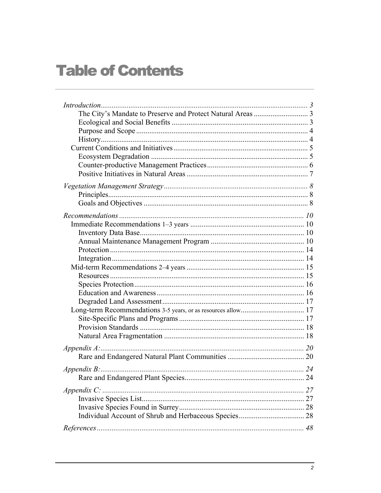## **Table of Contents**

| Appendix B: $\ldots$ 24 |  |
|-------------------------|--|
|                         |  |
| $Appendix C$ :          |  |
|                         |  |
|                         |  |
|                         |  |
|                         |  |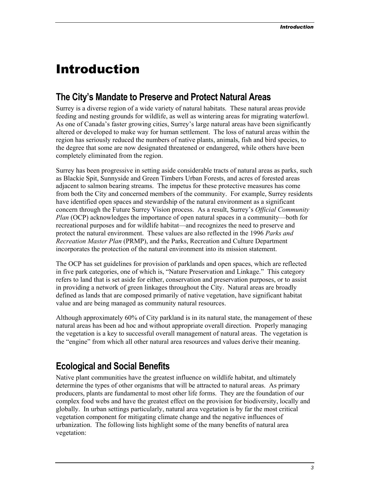## <span id="page-2-0"></span>Introduction

## **The City's Mandate to Preserve and Protect Natural Areas**

Surrey is a diverse region of a wide variety of natural habitats. These natural areas provide feeding and nesting grounds for wildlife, as well as wintering areas for migrating waterfowl. As one of Canada's faster growing cities, Surrey's large natural areas have been significantly altered or developed to make way for human settlement. The loss of natural areas within the region has seriously reduced the numbers of native plants, animals, fish and bird species, to the degree that some are now designated threatened or endangered, while others have been completely eliminated from the region.

Surrey has been progressive in setting aside considerable tracts of natural areas as parks, such as Blackie Spit, Sunnyside and Green Timbers Urban Forests, and acres of forested areas adjacent to salmon bearing streams. The impetus for these protective measures has come from both the City and concerned members of the community. For example, Surrey residents have identified open spaces and stewardship of the natural environment as a significant concern through the Future Surrey Vision process. As a result, Surrey's *Official Community Plan* (OCP) acknowledges the importance of open natural spaces in a community—both for recreational purposes and for wildlife habitat—and recognizes the need to preserve and protect the natural environment. These values are also reflected in the 1996 *Parks and Recreation Master Plan* (PRMP), and the Parks, Recreation and Culture Department incorporates the protection of the natural environment into its mission statement.

The OCP has set guidelines for provision of parklands and open spaces, which are reflected in five park categories, one of which is, "Nature Preservation and Linkage." This category refers to land that is set aside for either, conservation and preservation purposes, or to assist in providing a network of green linkages throughout the City. Natural areas are broadly defined as lands that are composed primarily of native vegetation, have significant habitat value and are being managed as community natural resources.

Although approximately 60% of City parkland is in its natural state, the management of these natural areas has been ad hoc and without appropriate overall direction. Properly managing the vegetation is a key to successful overall management of natural areas. The vegetation is the "engine" from which all other natural area resources and values derive their meaning.

## **Ecological and Social Benefits**

Native plant communities have the greatest influence on wildlife habitat, and ultimately determine the types of other organisms that will be attracted to natural areas. As primary producers, plants are fundamental to most other life forms. They are the foundation of our complex food webs and have the greatest effect on the provision for biodiversity, locally and globally. In urban settings particularly, natural area vegetation is by far the most critical vegetation component for mitigating climate change and the negative influences of urbanization. The following lists highlight some of the many benefits of natural area vegetation: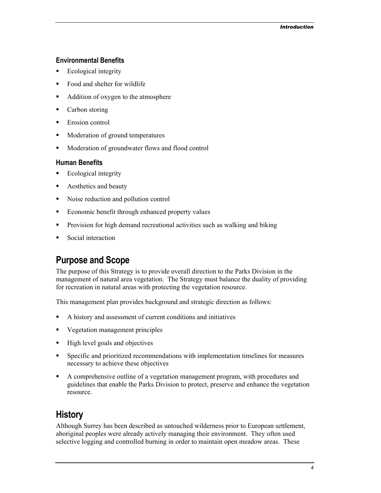#### <span id="page-3-0"></span>**Environmental Benefits**

- Ecological integrity
- $\blacksquare$  Food and shelter for wildlife
- Addition of oxygen to the atmosphere
- Carbon storing
- **Exercise** Erosion control
- **Moderation of ground temperatures**
- **Moderation of groundwater flows and flood control**

#### **Human Benefits**

- **Ecological integrity**
- Aesthetics and beauty
- Noise reduction and pollution control
- **Exercise Exercise Exercise Exercise Exercise Exercise Exercise Exercise Exercise Exercise Exercise Exercise Exercise Exercise Exercise Exercise Exercise Exercise Exercise Exercise Exercise Exercise Exercise Exercise Exerc**
- Provision for high demand recreational activities such as walking and biking
- Social interaction

## **Purpose and Scope**

The purpose of this Strategy is to provide overall direction to the Parks Division in the management of natural area vegetation. The Strategy must balance the duality of providing for recreation in natural areas with protecting the vegetation resource.

This management plan provides background and strategic direction as follows:

- A history and assessment of current conditions and initiatives
- Vegetation management principles
- $\blacksquare$  High level goals and objectives
- Specific and prioritized recommendations with implementation timelines for measures necessary to achieve these objectives
- A comprehensive outline of a vegetation management program, with procedures and guidelines that enable the Parks Division to protect, preserve and enhance the vegetation resource.

## **History**

Although Surrey has been described as untouched wilderness prior to European settlement, aboriginal peoples were already actively managing their environment. They often used selective logging and controlled burning in order to maintain open meadow areas. These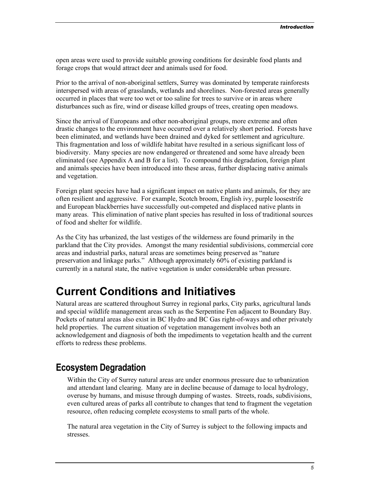<span id="page-4-0"></span>open areas were used to provide suitable growing conditions for desirable food plants and forage crops that would attract deer and animals used for food.

Prior to the arrival of non-aboriginal settlers, Surrey was dominated by temperate rainforests interspersed with areas of grasslands, wetlands and shorelines. Non-forested areas generally occurred in places that were too wet or too saline for trees to survive or in areas where disturbances such as fire, wind or disease killed groups of trees, creating open meadows.

Since the arrival of Europeans and other non-aboriginal groups, more extreme and often drastic changes to the environment have occurred over a relatively short period. Forests have been eliminated, and wetlands have been drained and dyked for settlement and agriculture. This fragmentation and loss of wildlife habitat have resulted in a serious significant loss of biodiversity. Many species are now endangered or threatened and some have already been eliminated (see Appendix A and B for a list). To compound this degradation, foreign plant and animals species have been introduced into these areas, further displacing native animals and vegetation.

Foreign plant species have had a significant impact on native plants and animals, for they are often resilient and aggressive. For example, Scotch broom, English ivy, purple loosestrife and European blackberries have successfully out-competed and displaced native plants in many areas. This elimination of native plant species has resulted in loss of traditional sources of food and shelter for wildlife.

As the City has urbanized, the last vestiges of the wilderness are found primarily in the parkland that the City provides. Amongst the many residential subdivisions, commercial core areas and industrial parks, natural areas are sometimes being preserved as "nature preservation and linkage parks." Although approximately 60% of existing parkland is currently in a natural state, the native vegetation is under considerable urban pressure.

## **Current Conditions and Initiatives**

Natural areas are scattered throughout Surrey in regional parks, City parks, agricultural lands and special wildlife management areas such as the Serpentine Fen adjacent to Boundary Bay. Pockets of natural areas also exist in BC Hydro and BC Gas right-of-ways and other privately held properties. The current situation of vegetation management involves both an acknowledgement and diagnosis of both the impediments to vegetation health and the current efforts to redress these problems.

## **Ecosystem Degradation**

Within the City of Surrey natural areas are under enormous pressure due to urbanization and attendant land clearing. Many are in decline because of damage to local hydrology, overuse by humans, and misuse through dumping of wastes. Streets, roads, subdivisions, even cultured areas of parks all contribute to changes that tend to fragment the vegetation resource, often reducing complete ecosystems to small parts of the whole.

The natural area vegetation in the City of Surrey is subject to the following impacts and stresses.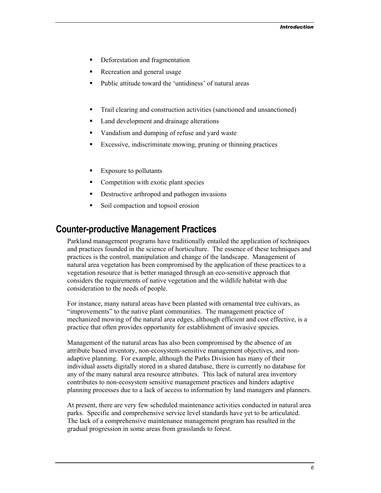- <span id="page-5-0"></span>• Deforestation and fragmentation
- Recreation and general usage
- Public attitude toward the 'untidiness' of natural areas
- Trail clearing and construction activities (sanctioned and unsanctioned)
- Land development and drainage alterations
- Vandalism and dumping of refuse and yard waste
- Excessive, indiscriminate mowing, pruning or thinning practices
- Exposure to pollutants
- Competition with exotic plant species
- Destructive arthropod and pathogen invasions
- Soil compaction and topsoil erosion

### **Counter-productive Management Practices**

Parkland management programs have traditionally entailed the application of techniques and practices founded in the science of horticulture. The essence of these techniques and practices is the control, manipulation and change of the landscape. Management of natural area vegetation has been compromised by the application of these practices to a vegetation resource that is better managed through an eco-sensitive approach that considers the requirements of native vegetation and the wildlife habitat with due consideration to the needs of people.

For instance, many natural areas have been planted with ornamental tree cultivars, as "improvements" to the native plant communities. The management practice of mechanized mowing of the natural area edges, although efficient and cost effective, is a practice that often provides opportunity for establishment of invasive species.

Management of the natural areas has also been compromised by the absence of an attribute based inventory, non-ecosystem-sensitive management objectives, and nonadaptive planning. For example, although the Parks Division has many of their individual assets digitally stored in a shared database, there is currently no database for any of the many natural area resource attributes. This lack of natural area inventory contributes to non-ecosystem sensitive management practices and hinders adaptive planning processes due to a lack of access to information by land managers and planners.

At present, there are very few scheduled maintenance activities conducted in natural area parks. Specific and comprehensive service level standards have yet to be articulated. The lack of a comprehensive maintenance management program has resulted in the gradual progression in some areas from grasslands to forest.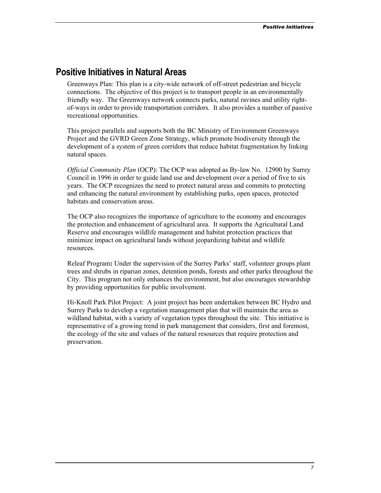### <span id="page-6-0"></span>**Positive Initiatives in Natural Areas**

Greenways Plan: This plan is a city-wide network of off-street pedestrian and bicycle connections. The objective of this project is to transport people in an environmentally friendly way. The Greenways network connects parks, natural ravines and utility rightof-ways in order to provide transportation corridors. It also provides a number of passive recreational opportunities.

This project parallels and supports both the BC Ministry of Environment Greenways Project and the GVRD Green Zone Strategy, which promote biodiversity through the development of a system of green corridors that reduce habitat fragmentation by linking natural spaces.

*Official Community Plan* (OCP): The OCP was adopted as By-law No. 12900 by Surrey Council in 1996 in order to guide land use and development over a period of five to six years. The OCP recognizes the need to protect natural areas and commits to protecting and enhancing the natural environment by establishing parks, open spaces, protected habitats and conservation areas.

The OCP also recognizes the importance of agriculture to the economy and encourages the protection and enhancement of agricultural area. It supports the Agricultural Land Reserve and encourages wildlife management and habitat protection practices that minimize impact on agricultural lands without jeopardizing habitat and wildlife resources.

Releaf Program**:** Under the supervision of the Surrey Parks' staff, volunteer groups plant trees and shrubs in riparian zones, detention ponds, forests and other parks throughout the City. This program not only enhances the environment, but also encourages stewardship by providing opportunities for public involvement.

Hi-Knoll Park Pilot Project: A joint project has been undertaken between BC Hydro and Surrey Parks to develop a vegetation management plan that will maintain the area as wildland habitat, with a variety of vegetation types throughout the site. This initiative is representative of a growing trend in park management that considers, first and foremost, the ecology of the site and values of the natural resources that require protection and preservation.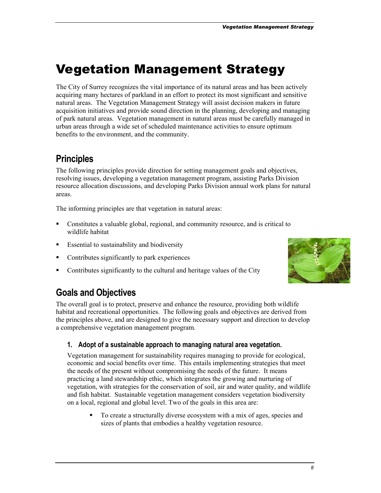## <span id="page-7-0"></span>Vegetation Management Strategy

The City of Surrey recognizes the vital importance of its natural areas and has been actively acquiring many hectares of parkland in an effort to protect its most significant and sensitive natural areas. The Vegetation Management Strategy will assist decision makers in future acquisition initiatives and provide sound direction in the planning, developing and managing of park natural areas. Vegetation management in natural areas must be carefully managed in urban areas through a wide set of scheduled maintenance activities to ensure optimum benefits to the environment, and the community.

## **Principles**

The following principles provide direction for setting management goals and objectives, resolving issues, developing a vegetation management program, assisting Parks Division resource allocation discussions, and developing Parks Division annual work plans for natural areas.

The informing principles are that vegetation in natural areas:

- Constitutes a valuable global, regional, and community resource, and is critical to wildlife habitat
- **Essential to sustainability and biodiversity**
- Contributes significantly to park experiences
- Contributes significantly to the cultural and heritage values of the City



## **Goals and Objectives**

The overall goal is to protect, preserve and enhance the resource, providing both wildlife habitat and recreational opportunities. The following goals and objectives are derived from the principles above, and are designed to give the necessary support and direction to develop a comprehensive vegetation management program.

#### **1. Adopt of a sustainable approach to managing natural area vegetation.**

Vegetation management for sustainability requires managing to provide for ecological, economic and social benefits over time. This entails implementing strategies that meet the needs of the present without compromising the needs of the future. It means practicing a land stewardship ethic, which integrates the growing and nurturing of vegetation, with strategies for the conservation of soil, air and water quality, and wildlife and fish habitat. Sustainable vegetation management considers vegetation biodiversity on a local, regional and global level. Two of the goals in this area are:

 To create a structurally diverse ecosystem with a mix of ages, species and sizes of plants that embodies a healthy vegetation resource.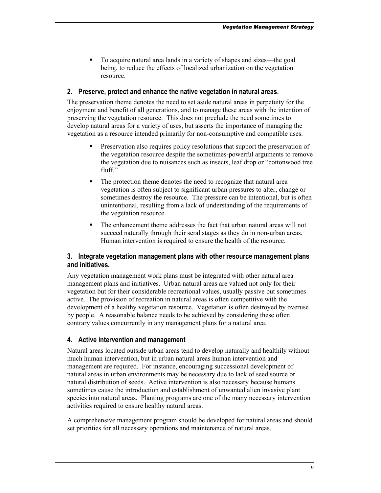To acquire natural area lands in a variety of shapes and sizes—the goal being, to reduce the effects of localized urbanization on the vegetation resource.

#### **2. Preserve, protect and enhance the native vegetation in natural areas.**

The preservation theme denotes the need to set aside natural areas in perpetuity for the enjoyment and benefit of all generations, and to manage these areas with the intention of preserving the vegetation resource. This does not preclude the need sometimes to develop natural areas for a variety of uses, but asserts the importance of managing the vegetation as a resource intended primarily for non-consumptive and compatible uses.

- **Preservation also requires policy resolutions that support the preservation of** the vegetation resource despite the sometimes-powerful arguments to remove the vegetation due to nuisances such as insects, leaf drop or "cottonwood tree fluff"
- The protection theme denotes the need to recognize that natural area vegetation is often subject to significant urban pressures to alter, change or sometimes destroy the resource. The pressure can be intentional, but is often unintentional, resulting from a lack of understanding of the requirements of the vegetation resource.
- The enhancement theme addresses the fact that urban natural areas will not succeed naturally through their seral stages as they do in non-urban areas. Human intervention is required to ensure the health of the resource.

#### **3. Integrate vegetation management plans with other resource management plans and initiatives.**

Any vegetation management work plans must be integrated with other natural area management plans and initiatives. Urban natural areas are valued not only for their vegetation but for their considerable recreational values, usually passive but sometimes active. The provision of recreation in natural areas is often competitive with the development of a healthy vegetation resource. Vegetation is often destroyed by overuse by people. A reasonable balance needs to be achieved by considering these often contrary values concurrently in any management plans for a natural area.

#### **4. Active intervention and management**

Natural areas located outside urban areas tend to develop naturally and healthily without much human intervention, but in urban natural areas human intervention and management are required. For instance, encouraging successional development of natural areas in urban environments may be necessary due to lack of seed source or natural distribution of seeds. Active intervention is also necessary because humans sometimes cause the introduction and establishment of unwanted alien invasive plant species into natural areas. Planting programs are one of the many necessary intervention activities required to ensure healthy natural areas.

A comprehensive management program should be developed for natural areas and should set priorities for all necessary operations and maintenance of natural areas.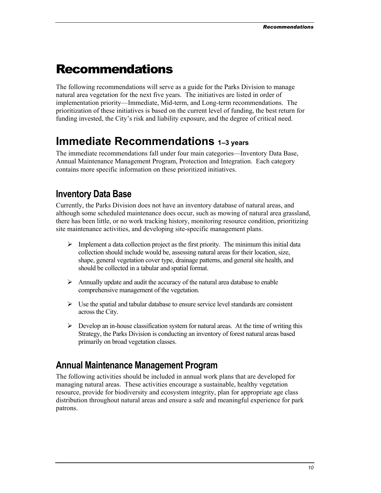## <span id="page-9-0"></span>Recommendations

The following recommendations will serve as a guide for the Parks Division to manage natural area vegetation for the next five years. The initiatives are listed in order of implementation priority—Immediate, Mid-term, and Long-term recommendations. The prioritization of these initiatives is based on the current level of funding, the best return for funding invested, the City's risk and liability exposure, and the degree of critical need.

## **Immediate Recommendations 1–3 years**

The immediate recommendations fall under four main categories—Inventory Data Base, Annual Maintenance Management Program, Protection and Integration. Each category contains more specific information on these prioritized initiatives.

## **Inventory Data Base**

Currently, the Parks Division does not have an inventory database of natural areas, and although some scheduled maintenance does occur, such as mowing of natural area grassland, there has been little, or no work tracking history, monitoring resource condition, prioritizing site maintenance activities, and developing site-specific management plans.

- $\triangleright$  Implement a data collection project as the first priority. The minimum this initial data collection should include would be, assessing natural areas for their location, size, shape, general vegetation cover type, drainage patterns, and general site health, and should be collected in a tabular and spatial format.
- $\triangleright$  Annually update and audit the accuracy of the natural area database to enable comprehensive management of the vegetation.
- $\triangleright$  Use the spatial and tabular database to ensure service level standards are consistent across the City.
- $\triangleright$  Develop an in-house classification system for natural areas. At the time of writing this Strategy, the Parks Division is conducting an inventory of forest natural areas based primarily on broad vegetation classes.

## **Annual Maintenance Management Program**

The following activities should be included in annual work plans that are developed for managing natural areas. These activities encourage a sustainable, healthy vegetation resource, provide for biodiversity and ecosystem integrity, plan for appropriate age class distribution throughout natural areas and ensure a safe and meaningful experience for park patrons.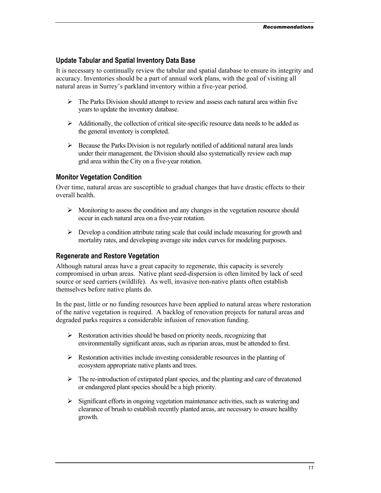#### **Update Tabular and Spatial Inventory Data Base**

It is necessary to continually review the tabular and spatial database to ensure its integrity and accuracy. Inventories should be a part of annual work plans, with the goal of visiting all natural areas in Surrey's parkland inventory within a five-year period.

- $\triangleright$  The Parks Division should attempt to review and assess each natural area within five years to update the inventory database.
- $\triangleright$  Additionally, the collection of critical site-specific resource data needs to be added as the general inventory is completed.
- $\triangleright$  Because the Parks Division is not regularly notified of additional natural area lands under their management, the Division should also systematically review each map grid area within the City on a five-year rotation.

#### **Monitor Vegetation Condition**

Over time, natural areas are susceptible to gradual changes that have drastic effects to their overall health.

- $\triangleright$  Monitoring to assess the condition and any changes in the vegetation resource should occur in each natural area on a five-year rotation.
- $\triangleright$  Develop a condition attribute rating scale that could include measuring for growth and mortality rates, and developing average site index curves for modeling purposes.

#### **Regenerate and Restore Vegetation**

Although natural areas have a great capacity to regenerate, this capacity is severely compromised in urban areas. Native plant seed-dispersion is often limited by lack of seed source or seed carriers (wildlife). As well, invasive non-native plants often establish themselves before native plants do.

In the past, little or no funding resources have been applied to natural areas where restoration of the native vegetation is required. A backlog of renovation projects for natural areas and degraded parks requires a considerable infusion of renovation funding.

- $\triangleright$  Restoration activities should be based on priority needs, recognizing that environmentally significant areas, such as riparian areas, must be attended to first.
- $\triangleright$  Restoration activities include investing considerable resources in the planting of ecosystem appropriate native plants and trees.
- $\triangleright$  The re-introduction of extirpated plant species, and the planting and care of threatened or endangered plant species should be a high priority.
- $\triangleright$  Significant efforts in ongoing vegetation maintenance activities, such as watering and clearance of brush to establish recently planted areas, are necessary to ensure healthy growth.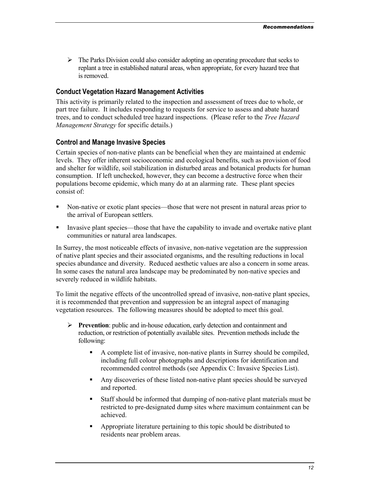$\triangleright$  The Parks Division could also consider adopting an operating procedure that seeks to replant a tree in established natural areas, when appropriate, for every hazard tree that is removed.

#### **Conduct Vegetation Hazard Management Activities**

This activity is primarily related to the inspection and assessment of trees due to whole, or part tree failure. It includes responding to requests for service to assess and abate hazard trees, and to conduct scheduled tree hazard inspections. (Please refer to the *Tree Hazard Management Strategy* for specific details.)

#### **Control and Manage Invasive Species**

Certain species of non-native plants can be beneficial when they are maintained at endemic levels. They offer inherent socioeconomic and ecological benefits, such as provision of food and shelter for wildlife, soil stabilization in disturbed areas and botanical products for human consumption. If left unchecked, however, they can become a destructive force when their populations become epidemic, which many do at an alarming rate. These plant species consist of:

- Non-native or exotic plant species—those that were not present in natural areas prior to the arrival of European settlers.
- Invasive plant species—those that have the capability to invade and overtake native plant communities or natural area landscapes.

In Surrey, the most noticeable effects of invasive, non-native vegetation are the suppression of native plant species and their associated organisms, and the resulting reductions in local species abundance and diversity. Reduced aesthetic values are also a concern in some areas. In some cases the natural area landscape may be predominated by non-native species and severely reduced in wildlife habitats.

To limit the negative effects of the uncontrolled spread of invasive, non-native plant species, it is recommended that prevention and suppression be an integral aspect of managing vegetation resources. The following measures should be adopted to meet this goal.

- ¾ **Prevention**: public and in-house education, early detection and containment and reduction, or restriction of potentially available sites. Prevention methods include the following:
	- A complete list of invasive, non-native plants in Surrey should be compiled, including full colour photographs and descriptions for identification and recommended control methods (see Appendix C: Invasive Species List).
	- Any discoveries of these listed non-native plant species should be surveyed and reported.
	- Staff should be informed that dumping of non-native plant materials must be restricted to pre-designated dump sites where maximum containment can be achieved.
	- Appropriate literature pertaining to this topic should be distributed to residents near problem areas.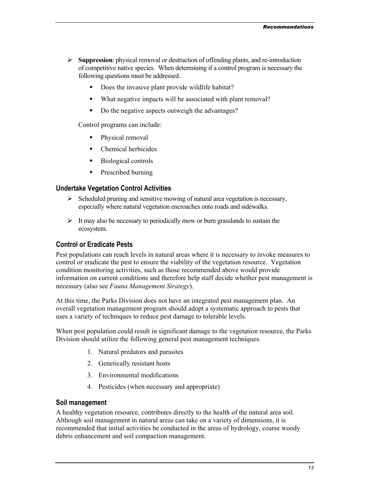- ¾ **Suppression**: physical removal or destruction of offending plants, and re-introduction of competitive native species. When determining if a control program is necessary the following questions must be addressed.
	- Does the invasive plant provide wildlife habitat?
	- What negative impacts will be associated with plant removal?
	- Do the negative aspects outweigh the advantages?

Control programs can include:

- Physical removal
- Chemical herbicides
- Biological controls
- Prescribed burning

#### **Undertake Vegetation Control Activities**

- $\triangleright$  Scheduled pruning and sensitive mowing of natural area vegetation is necessary, especially where natural vegetation encroaches onto roads and sidewalks.
- $\triangleright$  It may also be necessary to periodically mow or burn grasslands to sustain the ecosystem.

#### **Control or Eradicate Pests**

Pest populations can reach levels in natural areas where it is necessary to invoke measures to control or eradicate the pest to ensure the viability of the vegetation resource. Vegetation condition monitoring activities, such as those recommended above would provide information on current conditions and therefore help staff decide whether pest management is necessary (also see *Fauna Management Strategy*).

At this time, the Parks Division does not have an integrated pest management plan. An overall vegetation management program should adopt a systematic approach to pests that uses a variety of techniques to reduce pest damage to tolerable levels.

When pest population could result in significant damage to the vegetation resource, the Parks Division should utilize the following general pest management techniques.

- 1. Natural predators and parasites
- 2. Genetically resistant hosts
- 3. Environmental modifications
- 4. Pesticides (when necessary and appropriate)

#### **Soil management**

A healthy vegetation resource, contributes directly to the health of the natural area soil. Although soil management in natural areas can take on a variety of dimensions, it is recommended that initial activities be conducted in the areas of hydrology, coarse woody debris enhancement and soil compaction management.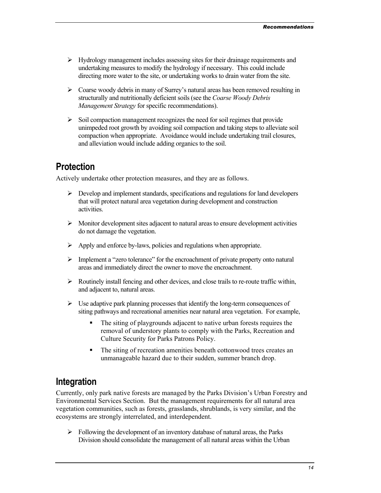- <span id="page-13-0"></span> $\triangleright$  Hydrology management includes assessing sites for their drainage requirements and undertaking measures to modify the hydrology if necessary. This could include directing more water to the site, or undertaking works to drain water from the site.
- $\triangleright$  Coarse woody debris in many of Surrey's natural areas has been removed resulting in structurally and nutritionally deficient soils (see the *Coarse Woody Debris Management Strategy* for specific recommendations).
- $\triangleright$  Soil compaction management recognizes the need for soil regimes that provide unimpeded root growth by avoiding soil compaction and taking steps to alleviate soil compaction when appropriate. Avoidance would include undertaking trail closures, and alleviation would include adding organics to the soil.

## **Protection**

Actively undertake other protection measures, and they are as follows.

- $\triangleright$  Develop and implement standards, specifications and regulations for land developers that will protect natural area vegetation during development and construction activities.
- $\triangleright$  Monitor development sites adjacent to natural areas to ensure development activities do not damage the vegetation.
- $\triangleright$  Apply and enforce by-laws, policies and regulations when appropriate.
- $\triangleright$  Implement a "zero tolerance" for the encroachment of private property onto natural areas and immediately direct the owner to move the encroachment.
- $\triangleright$  Routinely install fencing and other devices, and close trails to re-route traffic within, and adjacent to, natural areas.
- $\triangleright$  Use adaptive park planning processes that identify the long-term consequences of siting pathways and recreational amenities near natural area vegetation. For example,
	- The siting of playgrounds adjacent to native urban forests requires the removal of understory plants to comply with the Parks, Recreation and Culture Security for Parks Patrons Policy.
	- The siting of recreation amenities beneath cottonwood trees creates an unmanageable hazard due to their sudden, summer branch drop.

## **Integration**

Currently, only park native forests are managed by the Parks Division's Urban Forestry and Environmental Services Section. But the management requirements for all natural area vegetation communities, such as forests, grasslands, shrublands, is very similar, and the ecosystems are strongly interrelated, and interdependent.

 $\triangleright$  Following the development of an inventory database of natural areas, the Parks Division should consolidate the management of all natural areas within the Urban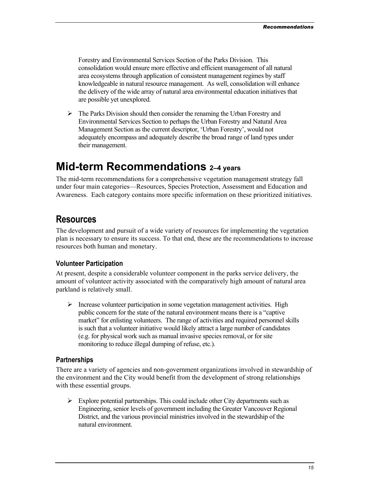<span id="page-14-0"></span>Forestry and Environmental Services Section of the Parks Division. This consolidation would ensure more effective and efficient management of all natural area ecosystems through application of consistent management regimes by staff knowledgeable in natural resource management. As well, consolidation will enhance the delivery of the wide array of natural area environmental education initiatives that are possible yet unexplored.

 $\triangleright$  The Parks Division should then consider the renaming the Urban Forestry and Environmental Services Section to perhaps the Urban Forestry and Natural Area Management Section as the current descriptor, 'Urban Forestry', would not adequately encompass and adequately describe the broad range of land types under their management.

## **Mid-term Recommendations 2–4 years**

The mid-term recommendations for a comprehensive vegetation management strategy fall under four main categories—Resources, Species Protection, Assessment and Education and Awareness. Each category contains more specific information on these prioritized initiatives.

### **Resources**

The development and pursuit of a wide variety of resources for implementing the vegetation plan is necessary to ensure its success. To that end, these are the recommendations to increase resources both human and monetary.

#### **Volunteer Participation**

At present, despite a considerable volunteer component in the parks service delivery, the amount of volunteer activity associated with the comparatively high amount of natural area parkland is relatively small.

¾ Increase volunteer participation in some vegetation management activities. High public concern for the state of the natural environment means there is a "captive market" for enlisting volunteers. The range of activities and required personnel skills is such that a volunteer initiative would likely attract a large number of candidates (e.g. for physical work such as manual invasive species removal, or for site monitoring to reduce illegal dumping of refuse, etc.).

#### **Partnerships**

There are a variety of agencies and non-government organizations involved in stewardship of the environment and the City would benefit from the development of strong relationships with these essential groups.

 $\triangleright$  Explore potential partnerships. This could include other City departments such as Engineering, senior levels of government including the Greater Vancouver Regional District, and the various provincial ministries involved in the stewardship of the natural environment.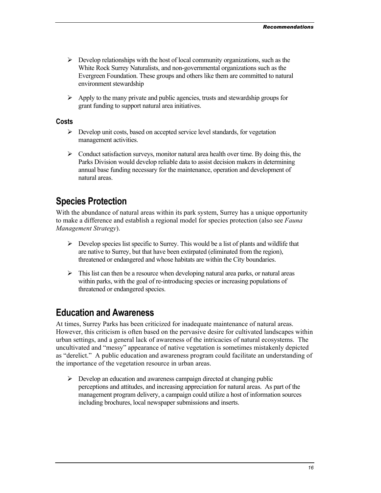- <span id="page-15-0"></span> $\triangleright$  Develop relationships with the host of local community organizations, such as the White Rock Surrey Naturalists, and non-governmental organizations such as the Evergreen Foundation. These groups and others like them are committed to natural environment stewardship
- $\triangleright$  Apply to the many private and public agencies, trusts and stewardship groups for grant funding to support natural area initiatives.

#### **Costs**

- $\triangleright$  Develop unit costs, based on accepted service level standards, for vegetation management activities.
- $\triangleright$  Conduct satisfaction surveys, monitor natural area health over time. By doing this, the Parks Division would develop reliable data to assist decision makers in determining annual base funding necessary for the maintenance, operation and development of natural areas.

### **Species Protection**

With the abundance of natural areas within its park system, Surrey has a unique opportunity to make a difference and establish a regional model for species protection (also see *Fauna Management Strategy*).

- $\triangleright$  Develop species list specific to Surrey. This would be a list of plants and wildlife that are native to Surrey, but that have been extirpated (eliminated from the region), threatened or endangered and whose habitats are within the City boundaries.
- $\triangleright$  This list can then be a resource when developing natural area parks, or natural areas within parks, with the goal of re-introducing species or increasing populations of threatened or endangered species.

### **Education and Awareness**

At times, Surrey Parks has been criticized for inadequate maintenance of natural areas. However, this criticism is often based on the pervasive desire for cultivated landscapes within urban settings, and a general lack of awareness of the intricacies of natural ecosystems. The uncultivated and "messy" appearance of native vegetation is sometimes mistakenly depicted as "derelict." A public education and awareness program could facilitate an understanding of the importance of the vegetation resource in urban areas.

 $\triangleright$  Develop an education and awareness campaign directed at changing public perceptions and attitudes, and increasing appreciation for natural areas. As part of the management program delivery, a campaign could utilize a host of information sources including brochures, local newspaper submissions and inserts.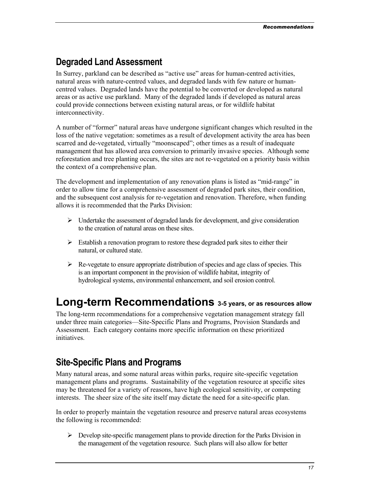## <span id="page-16-0"></span>**Degraded Land Assessment**

In Surrey, parkland can be described as "active use" areas for human-centred activities, natural areas with nature-centred values, and degraded lands with few nature or humancentred values. Degraded lands have the potential to be converted or developed as natural areas or as active use parkland. Many of the degraded lands if developed as natural areas could provide connections between existing natural areas, or for wildlife habitat interconnectivity.

A number of "former" natural areas have undergone significant changes which resulted in the loss of the native vegetation: sometimes as a result of development activity the area has been scarred and de-vegetated, virtually "moonscaped"; other times as a result of inadequate management that has allowed area conversion to primarily invasive species. Although some reforestation and tree planting occurs, the sites are not re-vegetated on a priority basis within the context of a comprehensive plan.

The development and implementation of any renovation plans is listed as "mid-range" in order to allow time for a comprehensive assessment of degraded park sites, their condition, and the subsequent cost analysis for re-vegetation and renovation. Therefore, when funding allows it is recommended that the Parks Division:

- $\triangleright$  Undertake the assessment of degraded lands for development, and give consideration to the creation of natural areas on these sites.
- $\triangleright$  Establish a renovation program to restore these degraded park sites to either their natural, or cultured state.
- $\triangleright$  Re-vegetate to ensure appropriate distribution of species and age class of species. This is an important component in the provision of wildlife habitat, integrity of hydrological systems, environmental enhancement, and soil erosion control.

## **Long-term Recommendations 3-5 years, or as resources allow**

The long-term recommendations for a comprehensive vegetation management strategy fall under three main categories—Site-Specific Plans and Programs, Provision Standards and Assessment. Each category contains more specific information on these prioritized *initiatives* 

## **Site-Specific Plans and Programs**

Many natural areas, and some natural areas within parks, require site-specific vegetation management plans and programs. Sustainability of the vegetation resource at specific sites may be threatened for a variety of reasons, have high ecological sensitivity, or competing interests. The sheer size of the site itself may dictate the need for a site-specific plan.

In order to properly maintain the vegetation resource and preserve natural areas ecosystems the following is recommended:

 $\triangleright$  Develop site-specific management plans to provide direction for the Parks Division in the management of the vegetation resource. Such plans will also allow for better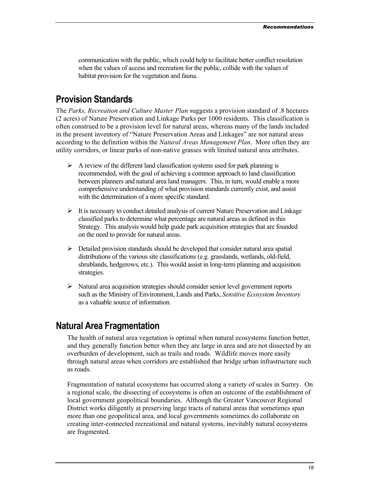<span id="page-17-0"></span>communication with the public, which could help to facilitate better conflict resolution when the values of access and recreation for the public, collide with the values of habitat provision for the vegetation and fauna.

## **Provision Standards**

The *Parks, Recreation and Culture Master Plan* suggests a provision standard of .8 hectares (2 acres) of Nature Preservation and Linkage Parks per 1000 residents. This classification is often construed to be a provision level for natural areas, whereas many of the lands included in the present inventory of "Nature Preservation Areas and Linkages" are not natural areas according to the definition within the *Natural Areas Management Plan*. More often they are utility corridors, or linear parks of non-native grasses with limited natural area attributes.

- $\triangleright$  A review of the different land classification systems used for park planning is recommended, with the goal of achieving a common approach to land classification between planners and natural area land managers. This, in turn, would enable a more comprehensive understanding of what provision standards currently exist, and assist with the determination of a more specific standard.
- $\triangleright$  It is necessary to conduct detailed analysis of current Nature Preservation and Linkage classified parks to determine what percentage are natural areas as defined in this Strategy. This analysis would help guide park acquisition strategies that are founded on the need to provide for natural areas.
- $\triangleright$  Detailed provision standards should be developed that consider natural area spatial distributions of the various site classifications (e.g. grasslands, wetlands, old-field, shrublands, hedgerows, etc.). This would assist in long-term planning and acquisition strategies.
- $\triangleright$  Natural area acquisition strategies should consider senior level government reports such as the Ministry of Environment, Lands and Parks, *Sensitive Ecosystem Inventory* as a valuable source of information.

## **Natural Area Fragmentation**

The health of natural area vegetation is optimal when natural ecosystems function better, and they generally function better when they are large in area and are not dissected by an overburden of development, such as trails and roads. Wildlife moves more easily through natural areas when corridors are established that bridge urban infrastructure such as roads.

Fragmentation of natural ecosystems has occurred along a variety of scales in Surrey. On a regional scale, the dissecting of ecosystems is often an outcome of the establishment of local government geopolitical boundaries. Although the Greater Vancouver Regional District works diligently at preserving large tracts of natural areas that sometimes span more than one geopolitical area, and local governments sometimes do collaborate on creating inter-connected recreational and natural systems, inevitably natural ecosystems are fragmented.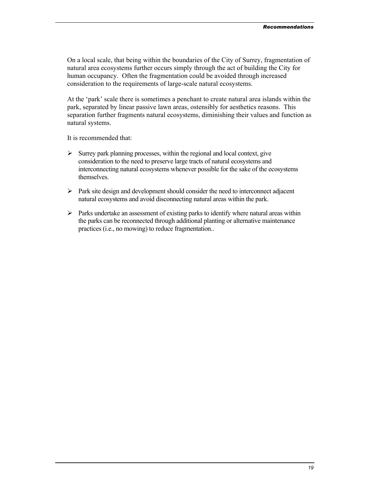On a local scale, that being within the boundaries of the City of Surrey, fragmentation of natural area ecosystems further occurs simply through the act of building the City for human occupancy. Often the fragmentation could be avoided through increased consideration to the requirements of large-scale natural ecosystems.

At the 'park' scale there is sometimes a penchant to create natural area islands within the park, separated by linear passive lawn areas, ostensibly for aesthetics reasons. This separation further fragments natural ecosystems, diminishing their values and function as natural systems.

It is recommended that:

- $\triangleright$  Surrey park planning processes, within the regional and local context, give consideration to the need to preserve large tracts of natural ecosystems and interconnecting natural ecosystems whenever possible for the sake of the ecosystems themselves.
- $\triangleright$  Park site design and development should consider the need to interconnect adjacent natural ecosystems and avoid disconnecting natural areas within the park.
- $\triangleright$  Parks undertake an assessment of existing parks to identify where natural areas within the parks can be reconnected through additional planting or alternative maintenance practices (i.e., no mowing) to reduce fragmentation..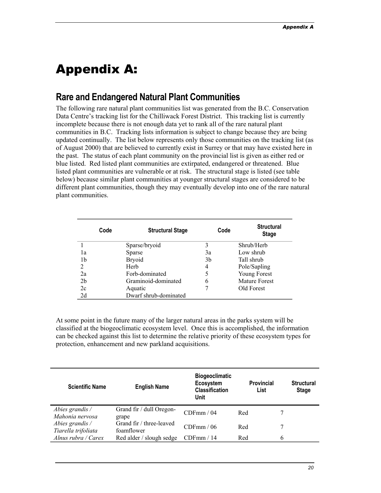## <span id="page-19-0"></span>Appendix A:

## **Rare and Endangered Natural Plant Communities**

The following rare natural plant communities list was generated from the B.C. Conservation Data Centre's tracking list for the Chilliwack Forest District. This tracking list is currently incomplete because there is not enough data yet to rank all of the rare natural plant communities in B.C. Tracking lists information is subject to change because they are being updated continually. The list below represents only those communities on the tracking list (as of August 2000) that are believed to currently exist in Surrey or that may have existed here in the past. The status of each plant community on the provincial list is given as either red or blue listed. Red listed plant communities are extirpated, endangered or threatened. Blue listed plant communities are vulnerable or at risk. The structural stage is listed (see table below) because similar plant communities at younger structural stages are considered to be different plant communities, though they may eventually develop into one of the rare natural plant communities.

|                | Code | <b>Structural Stage</b> | Code | <b>Structural</b><br><b>Stage</b> |
|----------------|------|-------------------------|------|-----------------------------------|
|                |      | Sparse/bryoid           | 3    | Shrub/Herb                        |
| l a            |      | Sparse                  | 3a   | Low shrub                         |
| 1b             |      | <b>Bryoid</b>           | 3b   | Tall shrub                        |
| 2              |      | Herb                    | 4    | Pole/Sapling                      |
| 2a             |      | Forb-dominated          |      | Young Forest                      |
| 2 <sub>b</sub> |      | Graminoid-dominated     | 6    | <b>Mature Forest</b>              |
| 2c             |      | Aquatic                 |      | Old Forest                        |
| 2d             |      | Dwarf shrub-dominated   |      |                                   |

At some point in the future many of the larger natural areas in the parks system will be classified at the biogeoclimatic ecosystem level. Once this is accomplished, the information can be checked against this list to determine the relative priority of these ecosystem types for protection, enhancement and new parkland acquisitions.

| <b>Scientific Name</b>                 | <b>English Name</b>                    | <b>Biogeoclimatic</b><br>Ecosystem<br><b>Classification</b><br>Unit |     | <b>Provincial</b><br>List | <b>Structural</b><br><b>Stage</b> |
|----------------------------------------|----------------------------------------|---------------------------------------------------------------------|-----|---------------------------|-----------------------------------|
| Abies grandis /<br>Mahonia nervosa     | Grand fir / dull Oregon-<br>grape      | CDFmm/04                                                            | Red |                           |                                   |
| Abies grandis /<br>Tiarella trifoliata | Grand fir / three-leaved<br>foamflower | CDFmm/06                                                            | Red |                           |                                   |
| Alnus rubra / Carex                    | Red alder / slough sedge               | CDFmm/14                                                            | Red | 6                         |                                   |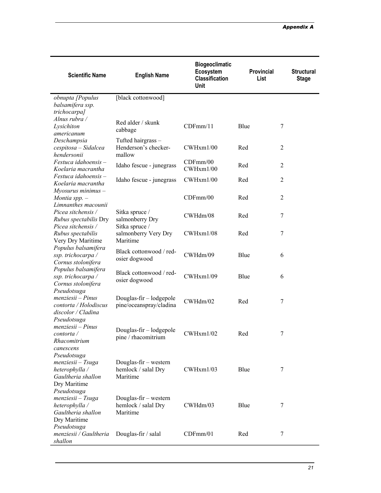| <b>Scientific Name</b>                                                                         | <b>English Name</b>                                      | <b>Biogeoclimatic</b><br>Ecosystem<br><b>Classification</b><br>Unit | Provincial<br>List | <b>Structural</b><br><b>Stage</b> |
|------------------------------------------------------------------------------------------------|----------------------------------------------------------|---------------------------------------------------------------------|--------------------|-----------------------------------|
| obnupta [Populus<br>balsamifera ssp.<br>trichocarpa]                                           | [black cottonwood]                                       |                                                                     |                    |                                   |
| Alnus rubra /<br>Lysichiton<br>americanum                                                      | Red alder / skunk<br>cabbage                             | CDFmm/11                                                            | Blue               | 7                                 |
| Deschampsia<br>cespitosa - Sidalcea<br>hendersonii                                             | Tufted hairgrass -<br>Henderson's checker-<br>mallow     | CWHxm1/00                                                           | Red                | 2                                 |
| $Festuca$ idahoensis –<br>Koelaria macrantha                                                   | Idaho fescue - junegrass                                 | CDFmm/00<br>CWHxm1/00                                               | Red                | $\overline{2}$                    |
| $Festuca$ idahoensis –<br>Koelaria macrantha<br>$M$ yosurus minimus $-$                        | Idaho fescue - junegrass                                 | CWHxm1/00                                                           | Red                | $\overline{c}$                    |
| Montia spp. $-$<br>Limnanthes macounii                                                         |                                                          | CDFmm/00                                                            | Red                | 2                                 |
| Picea sitchensis /<br>Rubus spectabilis Dry                                                    | Sitka spruce /<br>salmonberry Dry                        | CWHdm/08                                                            | Red                | 7                                 |
| Picea sitchensis /<br>Rubus spectabilis<br>Very Dry Maritime                                   | Sitka spruce /<br>salmonberry Very Dry<br>Maritime       | CWHxm1/08                                                           | Red                | 7                                 |
| Populus balsamifera<br>ssp. trichocarpa /<br>Cornus stolonifera                                | Black cottonwood / red-<br>osier dogwood                 | CWHdm/09                                                            | Blue               | 6                                 |
| Populus balsamifera<br>ssp. trichocarpa /<br>Cornus stolonifera                                | Black cottonwood / red-<br>osier dogwood                 | CWHxm1/09                                                           | Blue               | 6                                 |
| Pseudotsuga<br>$menziesii-Pinus$<br>contorta / Holodiscus<br>discolor / Cladina<br>Pseudotsuga | Douglas-fir - lodgepole<br>pine/oceanspray/cladina       | CWHdm/02                                                            | Red                | 7                                 |
| $menziesii-Pinus$<br>contorta /<br>Rhacomitrium<br>canescens                                   | Douglas-fir - lodgepole<br>pine / rhacomitrium           | CWHxm1/02                                                           | Red                |                                   |
| Pseudotsuga<br>menziesii - Tsuga<br>heterophylla /<br>Gaultheria shallon<br>Dry Maritime       | Douglas-fir – western<br>hemlock / salal Dry<br>Maritime | CWHxm1/03                                                           | Blue               | 7                                 |
| Pseudotsuga<br>menziesii - Tsuga<br>heterophylla /<br>Gaultheria shallon<br>Dry Maritime       | Douglas-fir – western<br>hemlock / salal Dry<br>Maritime | CWHdm/03                                                            | Blue               | 7                                 |
| Pseudotsuga<br>menziesii / Gaultheria<br>shallon                                               | Douglas-fir / salal                                      | CDFmm/01                                                            | Red                | 7                                 |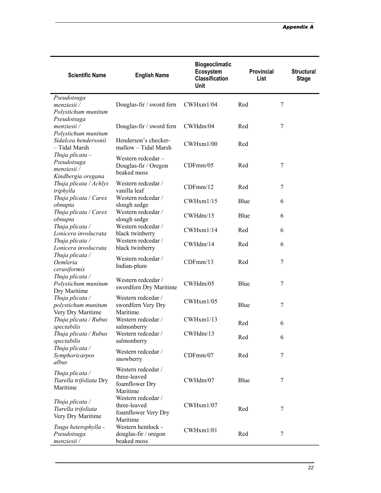| <b>Scientific Name</b>                                                | <b>English Name</b>                                                   | <b>Biogeoclimatic</b><br>Ecosystem<br><b>Classification</b><br>Unit | <b>Provincial</b><br>List | <b>Structural</b><br><b>Stage</b> |
|-----------------------------------------------------------------------|-----------------------------------------------------------------------|---------------------------------------------------------------------|---------------------------|-----------------------------------|
| Pseudotsuga<br>menziesii /<br>Polystichum munitum                     | Douglas-fir / sword fern                                              | CWHxm1/04                                                           | Red                       | 7                                 |
| Pseudotsuga<br>menziesii /<br>Polystichum munitum                     | Douglas-fir / sword fern                                              | CWHdm/04                                                            | Red                       | 7                                 |
| Sidalcea hendersonii<br>- Tidal Marsh                                 | Henderson's checker-<br>mallow - Tidal Marsh                          | CWHxm1/00                                                           | Red                       |                                   |
| Thuja plicata $-$<br>Pseudotsuga<br>menziesii /<br>Kindbergia oregana | Western redcedar-<br>Douglas-fir / Oregon<br>beaked moss              | CDFmm/05                                                            | Red                       | $\tau$                            |
| Thuja plicata / Achlys<br>triphylla                                   | Western redcedar /<br>vanilla leaf                                    | CDFmm/12                                                            | Red                       | 7                                 |
| Thuja plicata / Carex<br>obnupta                                      | Western redcedar /<br>slough sedge                                    | CWHxm1/15                                                           | Blue                      | 6                                 |
| Thuja plicata / Carex<br>obnupta                                      | Western redcedar /<br>slough sedge                                    | CWHdm/15                                                            | Blue                      | 6                                 |
| Thuja plicata /<br>Lonicera involucrata                               | Western redcedar /<br>black twinberry                                 | CWHxm1/14                                                           | Red                       | 6                                 |
| Thuja plicata /<br>Lonicera involucrata                               | Western redcedar /<br>black twinberry                                 | CWHdm/14                                                            | Red                       | 6                                 |
| Thuja plicata /<br><i>Oemleria</i><br>cerasiformis                    | Western redcedar /<br>Indian-plum                                     | CDFmm/13                                                            | Red                       | 7                                 |
| Thuja plicata /<br>Polystichum munitum<br>Dry Maritime                | Western redcedar /<br>swordfern Dry Maritime                          | CWHdm/05                                                            | Blue                      | 7                                 |
| Thuja plicata /<br>polystichum munitum<br>Very Dry Maritime           | Western redcedar /<br>swordfern Very Dry<br>Maritime                  | CWHxm1/05                                                           | Blue                      | 7                                 |
| Thuja plicata / Rubus<br>spectabilis                                  | Western redcedar /<br>salmonberry                                     | CWHxm1/13                                                           | Red                       | 6                                 |
| Thuja plicata / Rubus<br>spectabilis                                  | Western redcedar /<br>salmonberry                                     | CWHdm/13                                                            | Red                       | 6                                 |
| Thuja plicata /<br>Symphoricarpos<br>albus                            | Western redcedar /<br>snowberry                                       | CDFmm/07                                                            | Red                       | $\overline{7}$                    |
| Thuja plicata /<br>Tiarella trifoliata Dry<br>Maritime                | Western redcedar /<br>three-leaved<br>foamflower Dry<br>Maritime      | CWHdm/07                                                            | Blue                      | 7                                 |
| Thuja plicata /<br>Tiarella trifoliata<br>Very Dry Maritime           | Western redcedar /<br>three-leaved<br>foamflower Very Dry<br>Maritime | CWHxm1/07                                                           | Red                       | 7                                 |
| Tsuga heterophylla -<br>Pseudotsuga<br>menziesii /                    | Western hemlock -<br>douglas-fir / oregon<br>beaked moss              | CWHxm1/01                                                           | Red                       | 7                                 |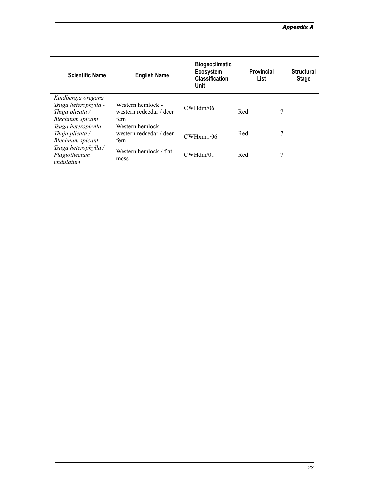| <b>Scientific Name</b>                                                                   | <b>English Name</b>                                  | <b>Biogeoclimatic</b><br>Ecosystem<br><b>Classification</b><br>Unit | <b>Provincial</b><br>List | <b>Structural</b><br><b>Stage</b> |
|------------------------------------------------------------------------------------------|------------------------------------------------------|---------------------------------------------------------------------|---------------------------|-----------------------------------|
| Kindbergia oregana<br>Tsuga heterophylla -<br>Thuja plicata $\angle$<br>Blechnum spicant | Western hemlock -<br>western redcedar / deer<br>fern | CWHdm/06                                                            | Red                       | 7                                 |
| Tsuga heterophylla -<br>Thuja plicata $\angle$<br>Blechnum spicant                       | Western hemlock -<br>western redcedar / deer<br>fern | CWHxm1/06                                                           | Red                       | 7                                 |
| Tsuga heterophylla /<br>Plagiothecium<br>undulatum                                       | Western hemlock / flat<br>moss                       | CWHdm/01                                                            | Red                       | 7                                 |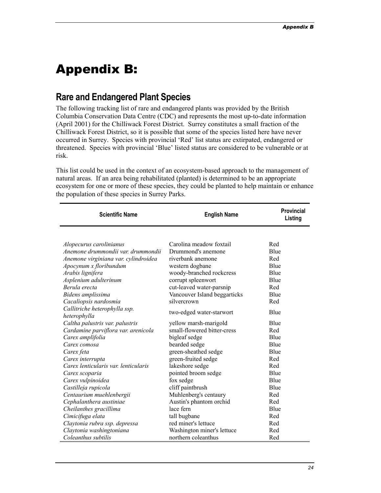## <span id="page-23-0"></span>Appendix B:

## **Rare and Endangered Plant Species**

The following tracking list of rare and endangered plants was provided by the British Columbia Conservation Data Centre (CDC) and represents the most up-to-date information (April 2001) for the Chilliwack Forest District. Surrey constitutes a small fraction of the Chilliwack Forest District, so it is possible that some of the species listed here have never occurred in Surrey. Species with provincial 'Red' list status are extirpated, endangered or threatened. Species with provincial 'Blue' listed status are considered to be vulnerable or at risk.

This list could be used in the context of an ecosystem-based approach to the management of natural areas. If an area being rehabilitated (planted) is determined to be an appropriate ecosystem for one or more of these species, they could be planted to help maintain or enhance the population of these species in Surrey Parks.

| <b>Scientific Name</b>                        | <b>English Name</b>          | <b>Provincial</b><br>Listing |
|-----------------------------------------------|------------------------------|------------------------------|
|                                               |                              |                              |
| Alopecurus carolinianus                       | Carolina meadow foxtail      | Red                          |
| Anemone drummondii var. drummondii            | Drummond's anemone           | Blue                         |
| Anemone virginiana var. cylindroidea          | riverbank anemone            | Red                          |
| Apocynum x floribundum                        | western dogbane              | Blue                         |
| Arabis lignifera                              | woody-branched rockcress     | Blue                         |
| Asplenium adulterinum                         | corrupt spleenwort           | Blue                         |
| Berula erecta                                 | cut-leaved water-parsnip     | Red                          |
| Bidens amplissima                             | Vancouver Island beggarticks | Blue                         |
| Cacaliopsis nardosmia                         | silvercrown                  | Red                          |
| Callitriche heterophylla ssp.<br>heterophylla | two-edged water-starwort     | Blue                         |
| Caltha palustris var. palustris               | yellow marsh-marigold        | Blue                         |
| Cardamine parviflora var. arenicola           | small-flowered bitter-cress  | Red                          |
| Carex amplifolia                              | bigleaf sedge                | Blue                         |
| Carex comosa                                  | bearded sedge                | Blue                         |
| Carex feta                                    | green-sheathed sedge         | Blue                         |
| Carex interrupta                              | green-fruited sedge          | Red                          |
| Carex lenticularis var. lenticularis          | lakeshore sedge              | Red                          |
| Carex scoparia                                | pointed broom sedge          | Blue                         |
| Carex vulpinoidea                             | fox sedge                    | Blue                         |
| Castilleja rupicola                           | cliff paintbrush             | Blue                         |
| Centaurium muehlenbergii                      | Muhlenberg's centaury        | Red                          |
| Cephalanthera austiniae                       | Austin's phantom orchid      | Red                          |
| Cheilanthes gracillima                        | lace fern                    | Blue                         |
| Cimicifuga elata                              | tall bugbane                 | Red                          |
| Claytonia rubra ssp. depressa                 | red miner's lettuce          | Red                          |
| Claytonia washingtoniana                      | Washington miner's lettuce   | Red                          |
| Coleanthus subtilis                           | northern coleanthus          | Red                          |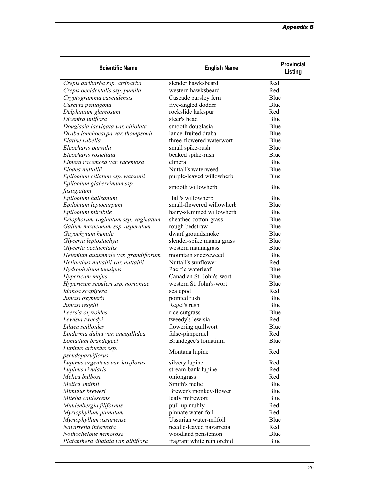| <b>Scientific Name</b>                                 | <b>English Name</b>        | <b>Provincial</b><br>Listing |
|--------------------------------------------------------|----------------------------|------------------------------|
| Crepis atribarba ssp. atribarba                        | slender hawksbeard         | Red                          |
| Crepis occidentalis ssp. pumila                        | western hawksbeard         | Red                          |
| Cryptogramma cascadensis                               | Cascade parsley fern       | Blue                         |
| Cuscuta pentagona                                      | five-angled dodder         | Blue                         |
| Delphinium glareosum                                   | rockslide larkspur         | Red                          |
| Dicentra uniflora                                      | steer's head               | Blue                         |
| Douglasia laevigata var. ciliolata                     | smooth douglasia           | Blue                         |
| Draba lonchocarpa var. thompsonii                      | lance-fruited draba        | Blue                         |
| Elatine rubella                                        | three-flowered waterwort   | Blue                         |
| Eleocharis parvula                                     | small spike-rush           | Blue                         |
| Eleocharis rostellata                                  | beaked spike-rush          | Blue                         |
| Elmera racemosa var. racemosa                          | elmera                     | Blue                         |
| Elodea nuttallii                                       | Nuttall's waterweed        | Blue                         |
| Epilobium ciliatum ssp. watsonii                       | purple-leaved willowherb   | Blue                         |
| Epilobium glaberrimum ssp.                             | smooth willowherb          | Blue                         |
| fastigiatum                                            |                            |                              |
| Epilobium halleanum                                    | Hall's willowherb          | Blue                         |
| Epilobium leptocarpum                                  | small-flowered willowherb  | Blue                         |
| Epilobium mirabile                                     | hairy-stemmed willowherb   | Blue                         |
| Eriophorum vaginatum ssp. vaginatum                    | sheathed cotton-grass      | Blue                         |
| Galium mexicanum ssp. asperulum                        | rough bedstraw             | Blue                         |
| Gayophytum humile                                      | dwarf groundsmoke          | Blue                         |
| Glyceria leptostachya                                  | slender-spike manna grass  | Blue                         |
| Glyceria occidentalis                                  | western mannagrass         | Blue                         |
| Helenium autumnale var. grandiflorum                   | mountain sneezeweed        | Blue                         |
| Helianthus nuttallii var. nuttallii                    | Nuttall's sunflower        | Red                          |
| Hydrophyllum tenuipes                                  | Pacific waterleaf          | Blue                         |
| Hypericum majus                                        | Canadian St. John's-wort   | Blue                         |
| Hypericum scouleri ssp. nortoniae                      | western St. John's-wort    | Blue                         |
| Idahoa scapigera                                       | scalepod                   | Red                          |
| Juncus oxymeris                                        | pointed rush               | Blue                         |
| Juncus regelii                                         | Regel's rush               | Blue                         |
| Leersia oryzoides                                      | rice cutgrass              | Blue                         |
| Lewisia tweedyi                                        | tweedy's lewisia           | Red                          |
| Lilaea scilloides                                      | flowering quillwort        | Blue                         |
| Lindernia dubia var. anagallidea                       | false-pimpernel            | Red                          |
| Lomatium brandegeei                                    | Brandegee's lomatium       | Blue                         |
| Lupinus arbustus ssp.                                  | Montana lupine             | Red                          |
| pseudoparviflorus<br>Lupinus argenteus var. laxiflorus | silvery lupine             | Red                          |
| Lupinus rivularis                                      | stream-bank lupine         | Red                          |
| Melica bulbosa                                         | oniongrass                 | Red                          |
| Melica smithii                                         | Smith's melic              | Blue                         |
| Mimulus breweri                                        | Brewer's monkey-flower     | Blue                         |
| Mitella caulescens                                     | leafy mitrewort            | Blue                         |
| Muhlenbergia filiformis                                | pull-up muhly              | Red                          |
| Myriophyllum pinnatum                                  | pinnate water-foil         | Red                          |
| Myriophyllum ussuriense                                | Ussurian water-milfoil     | Blue                         |
| Navarretia intertexta                                  | needle-leaved navarretia   | Red                          |
| Nothochelone nemorosa                                  | woodland penstemon         | Blue                         |
| Platanthera dilatata var. albiflora                    | fragrant white rein orchid | Blue                         |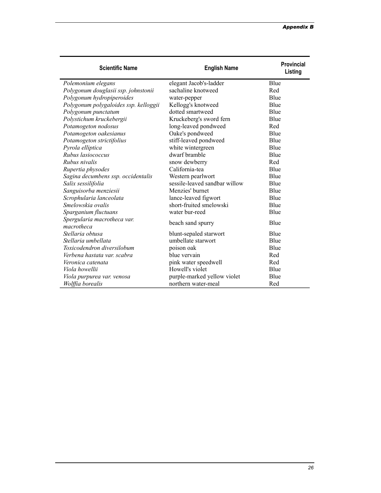| <b>Scientific Name</b>                    | <b>English Name</b>           | Provincial<br>Listing |
|-------------------------------------------|-------------------------------|-----------------------|
| Polemonium elegans                        | elegant Jacob's-ladder        | Blue                  |
| Polygonum douglasii ssp. johnstonii       | sachaline knotweed            | Red                   |
| Polygonum hydropiperoides                 | water-pepper                  | Blue                  |
| Polygonum polygaloides ssp. kelloggii     | Kellogg's knotweed            | Blue                  |
| Polygonum punctatum                       | dotted smartweed              | Blue                  |
| Polystichum kruckebergii                  | Kruckeberg's sword fern       | Blue                  |
| Potamogeton nodosus                       | long-leaved pondweed          | Red                   |
| Potamogeton oakesianus                    | Oake's pondweed               | Blue                  |
| Potamogeton strictifolius                 | stiff-leaved pondweed         | Blue                  |
| Pyrola elliptica                          | white wintergreen             | Blue                  |
| Rubus lasiococcus                         | dwarf bramble                 | Blue                  |
| Rubus nivalis                             | snow dewberry                 | Red                   |
| Rupertia physodes                         | California-tea                | Blue                  |
| Sagina decumbens ssp. occidentalis        | Western pearlwort             | Blue                  |
| Salix sessilifolia                        | sessile-leaved sandbar willow | Blue                  |
| Sanguisorba menziesii                     | Menzies' burnet               | Blue                  |
| Scrophularia lanceolata                   | lance-leaved figwort          | Blue                  |
| Smelowskia ovalis                         | short-fruited smelowski       | Blue                  |
| Sparganium fluctuans                      | water bur-reed                | Blue                  |
| Spergularia macrotheca var.<br>macrotheca | beach sand spurry             | Blue                  |
| Stellaria obtusa                          | blunt-sepaled starwort        | Blue                  |
| Stellaria umbellata                       | umbellate starwort            | Blue                  |
| Toxicodendron diversilobum                | poison oak                    | Blue                  |
| Verbena hastata var. scabra               | blue vervain                  | Red                   |
| Veronica catenata                         | pink water speedwell          | Red                   |
| Viola howellii                            | Howell's violet               | Blue                  |
| Viola purpurea var. venosa                | purple-marked yellow violet   | Blue                  |
| Wolffia borealis                          | northern water-meal           | Red                   |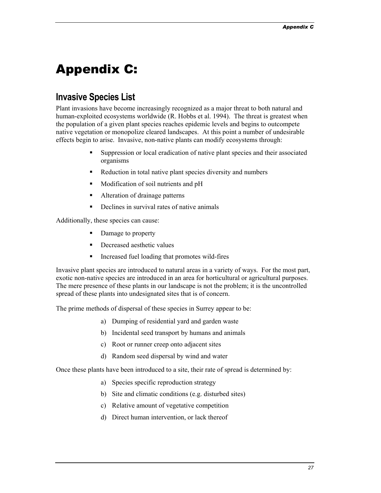## <span id="page-26-0"></span>Appendix C:

## **Invasive Species List**

Plant invasions have become increasingly recognized as a major threat to both natural and human-exploited ecosystems worldwide (R. Hobbs et al. 1994). The threat is greatest when the population of a given plant species reaches epidemic levels and begins to outcompete native vegetation or monopolize cleared landscapes. At this point a number of undesirable effects begin to arise. Invasive, non-native plants can modify ecosystems through:

- Suppression or local eradication of native plant species and their associated organisms
- Reduction in total native plant species diversity and numbers
- **Modification of soil nutrients and pH**
- Alteration of drainage patterns
- Declines in survival rates of native animals

Additionally, these species can cause:

- Damage to property
- Decreased aesthetic values
- Increased fuel loading that promotes wild-fires

Invasive plant species are introduced to natural areas in a variety of ways. For the most part, exotic non-native species are introduced in an area for horticultural or agricultural purposes. The mere presence of these plants in our landscape is not the problem; it is the uncontrolled spread of these plants into undesignated sites that is of concern.

The prime methods of dispersal of these species in Surrey appear to be:

- a) Dumping of residential yard and garden waste
- b) Incidental seed transport by humans and animals
- c) Root or runner creep onto adjacent sites
- d) Random seed dispersal by wind and water

Once these plants have been introduced to a site, their rate of spread is determined by:

- a) Species specific reproduction strategy
- b) Site and climatic conditions (e.g. disturbed sites)
- c) Relative amount of vegetative competition
- d) Direct human intervention, or lack thereof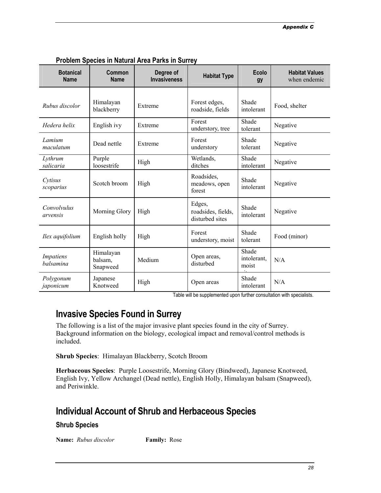<span id="page-27-0"></span>

| <b>Botanical</b><br><b>Name</b>      | Common<br><b>Name</b>            | Degree of<br><b>Invasiveness</b> | <b>Habitat Type</b>                             | <b>Ecolo</b><br>gy            | <b>Habitat Values</b><br>when endemic |
|--------------------------------------|----------------------------------|----------------------------------|-------------------------------------------------|-------------------------------|---------------------------------------|
| Rubus discolor                       | Himalayan<br>blackberry          | Extreme                          | Forest edges,<br>roadside, fields               | Shade<br>intolerant           | Food, shelter                         |
| Hedera helix                         | English ivy                      | Extreme                          | Forest<br>understory, tree                      | Shade<br>tolerant             | Negative                              |
| Lamium<br>maculatum                  | Dead nettle                      | Extreme                          | Forest<br>understory                            | Shade<br>tolerant             | Negative                              |
| Lythrum<br>salicaria                 | Purple<br>loosestrife            | High                             | Wetlands,<br>ditches                            | Shade<br>intolerant           | Negative                              |
| Cytisus<br>scoparius                 | Scotch broom                     | High                             | Roadsides,<br>meadows, open<br>forest           | Shade<br>intolerant           | Negative                              |
| Convolvulus<br>arvensis              | Morning Glory                    | High                             | Edges,<br>roadsides, fields,<br>disturbed sites | Shade<br>intolerant           | Negative                              |
| Ilex aquifolium                      | English holly                    | High                             | Forest<br>understory, moist                     | Shade<br>tolerant             | Food (minor)                          |
| <b>Impatiens</b><br><b>balsamina</b> | Himalayan<br>balsam,<br>Snapweed | Medium                           | Open areas,<br>disturbed                        | Shade<br>intolerant,<br>moist | N/A                                   |
| Polygonum<br>japonicum               | Japanese<br>Knotweed             | High                             | Open areas                                      | Shade<br>intolerant           | N/A                                   |

**Problem Species in Natural Area Parks in Surrey** 

Table will be supplemented upon further consultation with specialists.

## **Invasive Species Found in Surrey**

The following is a list of the major invasive plant species found in the city of Surrey. Background information on the biology, ecological impact and removal/control methods is included.

**Shrub Species**: Himalayan Blackberry, Scotch Broom

**Herbaceous Species**: Purple Loosestrife, Morning Glory (Bindweed), Japanese Knotweed, English Ivy, Yellow Archangel (Dead nettle), English Holly, Himalayan balsam (Snapweed), and Periwinkle.

## **Individual Account of Shrub and Herbaceous Species**

#### **Shrub Species**

**Name:** *Rubus discolor* **Family:** Rose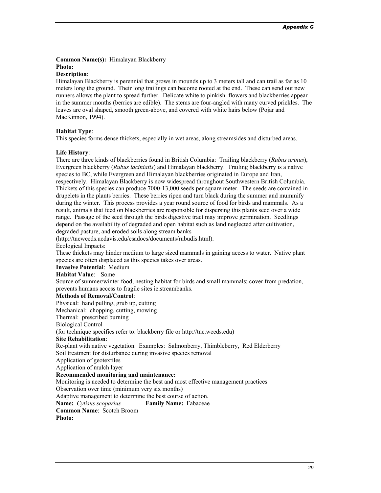**Common Name(s):** Himalayan Blackberry

### **Photo:**

#### **Description**:

Himalayan Blackberry is perennial that grows in mounds up to 3 meters tall and can trail as far as 10 meters long the ground. Their long trailings can become rooted at the end. These can send out new runners allows the plant to spread further. Delicate white to pinkish flowers and blackberries appear in the summer months (berries are edible). The stems are four-angled with many curved prickles. The leaves are oval shaped, smooth green-above, and covered with white hairs below (Pojar and MacKinnon, 1994).

#### **Habitat Type**:

This species forms dense thickets, especially in wet areas, along streamsides and disturbed areas.

#### **Life History**:

There are three kinds of blackberries found in British Columbia: Trailing blackberry (*Rubus urinus*), Evergreen blackberry (*Rubus laciniatis*) and Himalayan blackberry. Trailing blackberry is a native species to BC, while Evergreen and Himalayan blackberries originated in Europe and Iran, respectively. Himalayan Blackberry is now widespread throughout Southwestern British Columbia. Thickets of this species can produce 7000-13,000 seeds per square meter. The seeds are contained in drupelets in the plants berries. These berries ripen and turn black during the summer and mummify during the winter. This process provides a year round source of food for birds and mammals. As a result, animals that feed on blackberries are responsible for dispersing this plants seed over a wide range. Passage of the seed through the birds digestive tract may improve germination. Seedlings depend on the availability of degraded and open habitat such as land neglected after cultivation, degraded pasture, and eroded soils along stream banks

(http://tncweeds.ucdavis.edu/esadocs/documents/rubudis.html).

Ecological Impacts:

These thickets may hinder medium to large sized mammals in gaining access to water. Native plant species are often displaced as this species takes over areas.

**Invasive Potential**: Medium

**Habitat Value**: Some

Source of summer/winter food, nesting habitat for birds and small mammals; cover from predation, prevents humans access to fragile sites ie.streambanks.

#### **Methods of Removal/Control**:

Physical: hand pulling, grub up, cutting

Mechanical: chopping, cutting, mowing

Thermal: prescribed burning

Biological Control

(for technique specifics refer to: blackberry file or http://tnc.weeds.edu)

#### **Site Rehabilitation**:

Re-plant with native vegetation. Examples: Salmonberry, Thimbleberry, Red Elderberry Soil treatment for disturbance during invasive species removal

Application of geotextiles

Application of mulch layer

#### **Recommended monitoring and maintenance:**

Monitoring is needed to determine the best and most effective management practices

Observation over time (minimum very six months)

Adaptive management to determine the best course of action.

**Name:** *Cytisus scoparius* **Family Name:** Fabaceae

**Common Name**: Scotch Broom

**Photo:**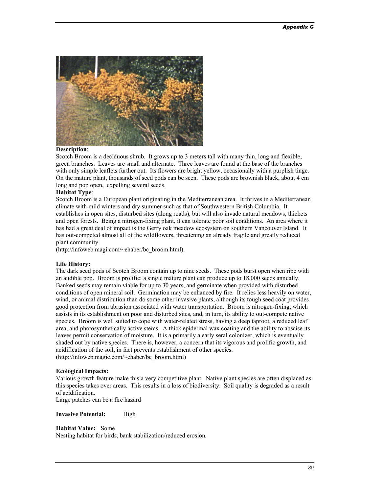

#### **Description**:

Scotch Broom is a deciduous shrub. It grows up to 3 meters tall with many thin, long and flexible, green branches. Leaves are small and alternate. Three leaves are found at the base of the branches with only simple leaflets further out. Its flowers are bright yellow, occasionally with a purplish tinge. On the mature plant, thousands of seed pods can be seen. These pods are brownish black, about 4 cm long and pop open, expelling several seeds.

#### **Habitat Type**:

Scotch Broom is a European plant originating in the Mediterranean area. It thrives in a Mediterranean climate with mild winters and dry summer such as that of Southwestern British Columbia. It establishes in open sites, disturbed sites (along roads), but will also invade natural meadows, thickets and open forests. Being a nitrogen-fixing plant, it can tolerate poor soil conditions. An area where it has had a great deal of impact is the Gerry oak meadow ecosystem on southern Vancouver Island. It has out-competed almost all of the wildflowers, threatening an already fragile and greatly reduced plant community.

(http://infoweb.magi.com/~ehaber/bc\_broom.html).

#### **Life History:**

The dark seed pods of Scotch Broom contain up to nine seeds. These pods burst open when ripe with an audible pop. Broom is prolific: a single mature plant can produce up to 18,000 seeds annually. Banked seeds may remain viable for up to 30 years, and germinate when provided with disturbed conditions of open mineral soil. Germination may be enhanced by fire. It relies less heavily on water, wind, or animal distribution than do some other invasive plants, although its tough seed coat provides good protection from abrasion associated with water transportation. Broom is nitrogen-fixing, which assists in its establishment on poor and disturbed sites, and, in turn, its ability to out-compete native species. Broom is well suited to cope with water-related stress, having a deep taproot, a reduced leaf area, and photosynthetically active stems. A thick epidermal wax coating and the ability to abscise its leaves permit conservation of moisture. It is a primarily a early seral colonizer, which is eventually shaded out by native species. There is, however, a concern that its vigorous and prolific growth, and acidification of the soil, in fact prevents establishment of other species. (http://infoweb.magic.com/~ehaber/bc\_broom.html)

#### **Ecological Impacts:**

Various growth feature make this a very competitive plant. Native plant species are often displaced as this species takes over areas. This results in a loss of biodiversity. Soil quality is degraded as a result of acidification.

Large patches can be a fire hazard

**Invasive Potential:** High

#### **Habitat Value:** Some

Nesting habitat for birds, bank stabilization/reduced erosion.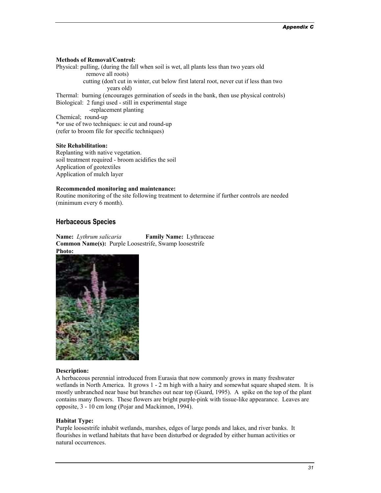#### **Methods of Removal/Control:**

Physical: pulling, (during the fall when soil is wet, all plants less than two years old remove all roots) cutting (don't cut in winter, cut below first lateral root, never cut if less than two years old) Thermal: burning (encourages germination of seeds in the bank, then use physical controls) Biological: 2 fungi used - still in experimental stage -replacement planting Chemical; round-up \*or use of two techniques: ie cut and round-up (refer to broom file for specific techniques)

#### **Site Rehabilitation:**

Replanting with native vegetation. soil treatment required - broom acidifies the soil Application of geotextiles Application of mulch layer

#### **Recommended monitoring and maintenance:**

Routine monitoring of the site following treatment to determine if further controls are needed (minimum every 6 month).

#### **Herbaceous Species**

**Name:** *Lythrum salicaria* **Family Name:** Lythraceae **Common Name(s):** Purple Loosestrife, Swamp loosestrife **Photo:**



#### **Description:**

A herbaceous perennial introduced from Eurasia that now commonly grows in many freshwater wetlands in North America. It grows 1 - 2 m high with a hairy and somewhat square shaped stem. It is mostly unbranched near base but branches out near top (Guard, 1995). A spike on the top of the plant contains many flowers. These flowers are bright purple-pink with tissue-like appearance. Leaves are opposite, 3 - 10 cm long (Pojar and Mackinnon, 1994).

#### **Habitat Type:**

Purple loosestrife inhabit wetlands, marshes, edges of large ponds and lakes, and river banks. It flourishes in wetland habitats that have been disturbed or degraded by either human activities or natural occurrences.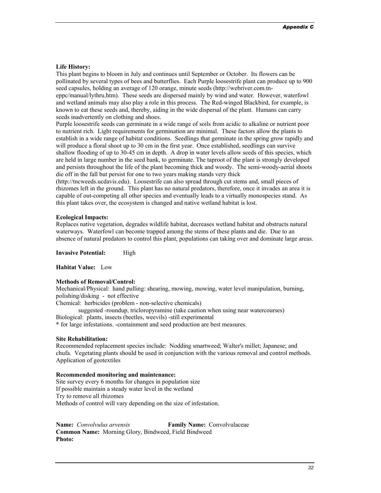#### **Life History:**

This plant begins to bloom in July and continues until September or October. Its flowers can be pollinated by several types of bees and butterflies. Each Purple loosestrife plant can produce up to 900 seed capsules, holding an average of 120 orange, minute seeds (http://webriver.com.tn-

eppc/manual/lythru.htm). These seeds are dispersed mainly by wind and water. However, waterfowl and wetland animals may also play a role in this process. The Red-winged Blackbird, for example, is known to eat these seeds and, thereby, aiding in the wide dispersal of the plant. Humans can carry seeds inadvertently on clothing and shoes.

Purple loosestrife seeds can germinate in a wide range of soils from acidic to alkaline or nutrient poor to nutrient rich. Light requirements for germination are minimal. These factors allow the plants to establish in a wide range of habitat conditions. Seedlings that germinate in the spring grow rapidly and will produce a floral shoot up to 30 cm in the first year. Once established, seedlings can survive shallow flooding of up to 30-45 cm in depth. A drop in water levels allow seeds of this species, which are held in large number in the seed bank, to germinate. The taproot of the plant is strongly developed and persists throughout the life of the plant becoming thick and woody. The semi-woody-aerial shoots die off in the fall but persist for one to two years making stands very thick

(http://tncweeds.ucdavis.edu). Loosestrife can also spread through cut stems and, small pieces of rhizomes left in the ground. This plant has no natural predators, therefore, once it invades an area it is capable of out-competing all other species and eventually leads to a virtually monospecies stand. As this plant takes over, the ecosystem is changed and native wetland habitat is lost.

#### **Ecological Impacts:**

Replaces native vegetation, degrades wildlife habitat, decreases wetland habitat and obstructs natural waterways. Waterfowl can become trapped among the stems of these plants and die. Due to an absence of natural predators to control this plant, populations can taking over and dominate large areas.

**Invasive Potential:** High

**Habitat Value:** Low

#### **Methods of Removal/Control:**

Mechanical/Physical: hand pulling: shearing, mowing, mowing, water level manipulation, burning, polishing/disking - not effective

Chemical: herbicides (problem - non-selective chemicals)

suggested -roundup, tricloropyramine (take caution when using near watercourses) Biological: plants, insects (beetles, weevils) -still experimental

\* for large infestations. -containment and seed production are best measures.

#### **Site Rehabilitation:**

Recommended replacement species include: Nodding smartweed; Walter's millet; Japanese; and chufa. Vegetating plants should be used in conjunction with the various removal and control methods. Application of geotextiles

#### **Recommended monitoring and maintenance:**

Site survey every 6 months for changes in population size If possible maintain a steady water level in the wetland Try to remove all rhizomes Methods of control will vary depending on the size of infestation.

**Name:** *Convolvulus arvensis* **Family Name:** Convolvulaceae **Common Name:** Morning Glory, Bindweed, Field Bindweed **Photo:**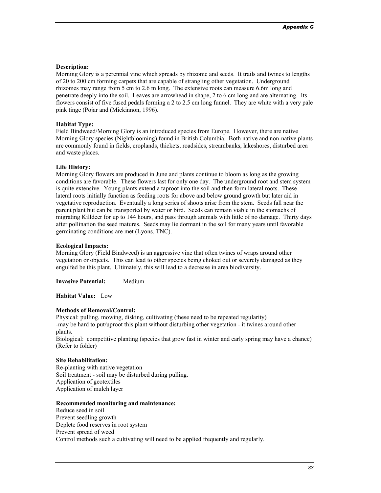#### **Description:**

Morning Glory is a perennial vine which spreads by rhizome and seeds. It trails and twines to lengths of 20 to 200 cm forming carpets that are capable of strangling other vegetation. Underground rhizomes may range from 5 cm to 2.6 m long. The extensive roots can measure 6.6m long and penetrate deeply into the soil. Leaves are arrowhead in shape, 2 to 6 cm long and are alternating. Its flowers consist of five fused pedals forming a 2 to 2.5 cm long funnel. They are white with a very pale pink tinge (Pojar and (Mickinnon, 1996).

#### **Habitat Type:**

Field Bindweed/Morning Glory is an introduced species from Europe. However, there are native Morning Glory species (Nightblooming) found in British Columbia. Both native and non-native plants are commonly found in fields, croplands, thickets, roadsides, streambanks, lakeshores, disturbed area and waste places.

#### **Life History:**

Morning Glory flowers are produced in June and plants continue to bloom as long as the growing conditions are favorable. These flowers last for only one day. The underground root and stem system is quite extensive. Young plants extend a taproot into the soil and then form lateral roots. These lateral roots initially function as feeding roots for above and below ground growth but later aid in vegetative reproduction. Eventually a long series of shoots arise from the stem. Seeds fall near the parent plant but can be transported by water or bird. Seeds can remain viable in the stomachs of migrating Killdeer for up to 144 hours, and pass through animals with little of no damage. Thirty days after pollination the seed matures. Seeds may lie dormant in the soil for many years until favorable germinating conditions are met (Lyons, TNC).

#### **Ecological Impacts:**

Morning Glory (Field Bindweed) is an aggressive vine that often twines of wraps around other vegetation or objects. This can lead to other species being choked out or severely damaged as they engulfed be this plant. Ultimately, this will lead to a decrease in area biodiversity.

**Invasive Potential:** Medium

**Habitat Value:** Low

#### **Methods of Removal/Control:**

Physical: pulling, mowing, disking, cultivating (these need to be repeated regularity) -may be hard to put/uproot this plant without disturbing other vegetation - it twines around other plants.

Biological: competitive planting (species that grow fast in winter and early spring may have a chance) (Refer to folder)

#### **Site Rehabilitation:**

Re-planting with native vegetation Soil treatment - soil may be disturbed during pulling. Application of geotextiles Application of mulch layer

#### **Recommended monitoring and maintenance:**

Reduce seed in soil Prevent seedling growth Deplete food reserves in root system Prevent spread of weed Control methods such a cultivating will need to be applied frequently and regularly.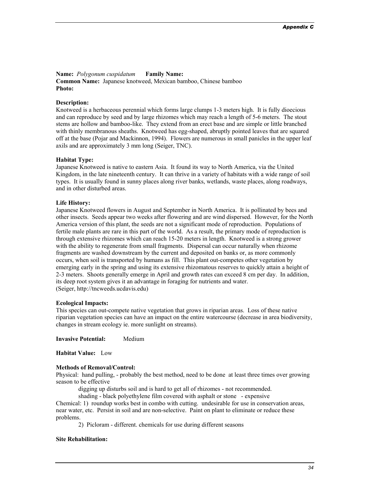#### **Name:** *Polygonum cuspidatum* **Family Name:**

**Common Name:** Japanese knotweed, Mexican bamboo, Chinese bamboo **Photo:**

#### **Description:**

Knotweed is a herbaceous perennial which forms large clumps 1-3 meters high. It is fully dioecious and can reproduce by seed and by large rhizomes which may reach a length of 5-6 meters. The stout stems are hollow and bamboo-like. They extend from an erect base and are simple or little branched with thinly membranous sheaths. Knotweed has egg-shaped, abruptly pointed leaves that are squared off at the base (Pojar and Mackinnon, 1994). Flowers are numerous in small panicles in the upper leaf axils and are approximately 3 mm long (Seiger, TNC).

#### **Habitat Type:**

Japanese Knotweed is native to eastern Asia. It found its way to North America, via the United Kingdom, in the late nineteenth century. It can thrive in a variety of habitats with a wide range of soil types. It is usually found in sunny places along river banks, wetlands, waste places, along roadways, and in other disturbed areas.

#### **Life History:**

Japanese Knotweed flowers in August and September in North America. It is pollinated by bees and other insects. Seeds appear two weeks after flowering and are wind dispersed. However, for the North America version of this plant, the seeds are not a significant mode of reproduction. Populations of fertile male plants are rare in this part of the world. As a result, the primary mode of reproduction is through extensive rhizomes which can reach 15-20 meters in length. Knotweed is a strong grower with the ability to regenerate from small fragments. Dispersal can occur naturally when rhizome fragments are washed downstream by the current and deposited on banks or, as more commonly occurs, when soil is transported by humans as fill. This plant out-competes other vegetation by emerging early in the spring and using its extensive rhizomatous reserves to quickly attain a height of 2-3 meters. Shoots generally emerge in April and growth rates can exceed 8 cm per day. In addition, its deep root system gives it an advantage in foraging for nutrients and water. (Seiger, http://tncweeds.ucdavis.edu)

#### **Ecological Impacts:**

This species can out-compete native vegetation that grows in riparian areas. Loss of these native riparian vegetation species can have an impact on the entire watercourse (decrease in area biodiversity, changes in stream ecology ie. more sunlight on streams).

**Invasive Potential:** Medium

**Habitat Value:** Low

#### **Methods of Removal/Control:**

Physical: hand pulling, - probably the best method, need to be done at least three times over growing season to be effective

digging up disturbs soil and is hard to get all of rhizomes - not recommended.

shading - black polyethylene film covered with asphalt or stone - expensive

Chemical: 1) roundup works best in combo with cutting. undesirable for use in conservation areas, near water, etc. Persist in soil and are non-selective. Paint on plant to eliminate or reduce these problems.

2) Picloram - different. chemicals for use during different seasons

#### **Site Rehabilitation:**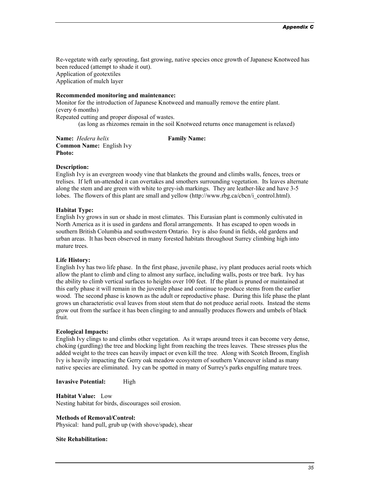Re-vegetate with early sprouting, fast growing, native species once growth of Japanese Knotweed has been reduced (attempt to shade it out). Application of geotextiles Application of mulch layer

#### **Recommended monitoring and maintenance:**

Monitor for the introduction of Japanese Knotweed and manually remove the entire plant. (every 6 months) Repeated cutting and proper disposal of wastes. (as long as rhizomes remain in the soil Knotweed returns once management is relaxed)

**Name:** *Hedera helix* **Family Name: Common Name:** English Ivy **Photo:**

#### **Description:**

English Ivy is an evergreen woody vine that blankets the ground and climbs walls, fences, trees or trelises. If left un-attended it can overtakes and smothers surrounding vegetation. Its leaves alternate along the stem and are green with white to grey-ish markings. They are leather-like and have 3-5 lobes. The flowers of this plant are small and yellow (http://www.rbg.ca/cbcn/i\_control.html).

#### **Habitat Type:**

English Ivy grows in sun or shade in most climates. This Eurasian plant is commonly cultivated in North America as it is used in gardens and floral arrangements. It has escaped to open woods in southern British Columbia and southwestern Ontario. Ivy is also found in fields, old gardens and urban areas. It has been observed in many forested habitats throughout Surrey climbing high into mature trees.

#### **Life History:**

English Ivy has two life phase. In the first phase, juvenile phase, ivy plant produces aerial roots which allow the plant to climb and cling to almost any surface, including walls, posts or tree bark. Ivy has the ability to climb vertical surfaces to heights over 100 feet. If the plant is pruned or maintained at this early phase it will remain in the juvenile phase and continue to produce stems from the earlier wood. The second phase is known as the adult or reproductive phase. During this life phase the plant grows un characteristic oval leaves from stout stem that do not produce aerial roots. Instead the stems grow out from the surface it has been clinging to and annually produces flowers and umbels of black fruit.

#### **Ecological Impacts:**

English Ivy clings to and climbs other vegetation. As it wraps around trees it can become very dense, choking (gurdling) the tree and blocking light from reaching the trees leaves. These stresses plus the added weight to the trees can heavily impact or even kill the tree. Along with Scotch Broom, English Ivy is heavily impacting the Gerry oak meadow ecosystem of southern Vancouver island as many native species are eliminated. Ivy can be spotted in many of Surrey's parks engulfing mature trees.

**Invasive Potential:** High

**Habitat Value:** Low Nesting habitat for birds, discourages soil erosion.

#### **Methods of Removal/Control:**

Physical: hand pull, grub up (with shove/spade), shear

#### **Site Rehabilitation:**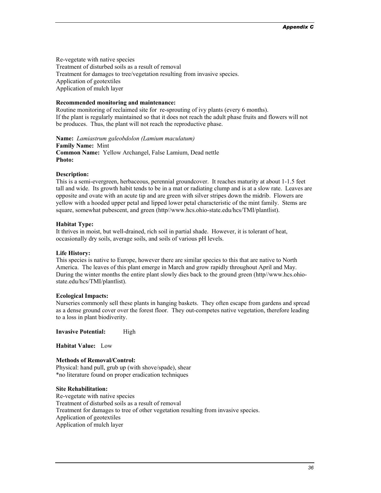Re-vegetate with native species Treatment of disturbed soils as a result of removal Treatment for damages to tree/vegetation resulting from invasive species. Application of geotextiles Application of mulch layer

#### **Recommended monitoring and maintenance:**

Routine monitoring of reclaimed site for re-sprouting of ivy plants (every 6 months). If the plant is regularly maintained so that it does not reach the adult phase fruits and flowers will not be produces. Thus, the plant will not reach the reproductive phase.

**Name:** *Lamiastrum galeobdolon (Lamium maculatum)* **Family Name:** Mint **Common Name:** Yellow Archangel, False Lamium, Dead nettle **Photo:**

#### **Description:**

This is a semi-evergreen, herbaceous, perennial groundcover. It reaches maturity at about 1-1.5 feet tall and wide. Its growth habit tends to be in a mat or radiating clump and is at a slow rate. Leaves are opposite and ovate with an acute tip and are green with silver stripes down the midrib. Flowers are yellow with a hooded upper petal and lipped lower petal characteristic of the mint family. Stems are square, somewhat pubescent, and green (http//www.hcs.ohio-state.edu/hcs/TMI/plantlist).

#### **Habitat Type:**

It thrives in moist, but well-drained, rich soil in partial shade. However, it is tolerant of heat, occasionally dry soils, average soils, and soils of various pH levels.

#### **Life History:**

This species is native to Europe, however there are similar species to this that are native to North America. The leaves of this plant emerge in March and grow rapidly throughout April and May. During the winter months the entire plant slowly dies back to the ground green (http//www.hcs.ohiostate.edu/hcs/TMI/plantlist).

#### **Ecological Impacts:**

Nurseries commonly sell these plants in hanging baskets. They often escape from gardens and spread as a dense ground cover over the forest floor. They out-competes native vegetation, therefore leading to a loss in plant biodiverity.

#### **Invasive Potential:** High

**Habitat Value:** Low

#### **Methods of Removal/Control:**

Physical: hand pull, grub up (with shove/spade), shear \*no literature found on proper eradication techniques

#### **Site Rehabilitation:**

Re-vegetate with native species Treatment of disturbed soils as a result of removal Treatment for damages to tree of other vegetation resulting from invasive species. Application of geotextiles Application of mulch layer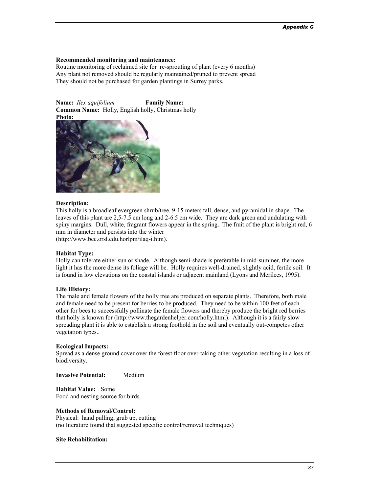#### **Recommended monitoring and maintenance:**

Routine monitoring of reclaimed site for re-sprouting of plant (every 6 months) Any plant not removed should be regularly maintained/pruned to prevent spread They should not be purchased for garden plantings in Surrey parks.

**Name:** *Ilex aquifolium* **Family Name: Common Name:** Holly, English holly, Christmas holly **Photo:**



#### **Description:**

This holly is a broadleaf evergreen shrub/tree, 9-15 meters tall, dense, and pyramidal in shape. The leaves of this plant are 2,5-7.5 cm long and 2-6.5 cm wide. They are dark green and undulating with spiny margins. Dull, white, fragrant flowers appear in the spring. The fruit of the plant is bright red, 6 mm in diameter and persists into the winter

(http://www.bcc.orsl.edu.horlpm/ilaq-i.htm).

#### **Habitat Type:**

Holly can tolerate either sun or shade. Although semi-shade is preferable in mid-summer, the more light it has the more dense its foliage will be. Holly requires well-drained, slightly acid, fertile soil. It is found in low elevations on the coastal islands or adjacent mainland (Lyons and Merilees, 1995).

#### **Life History:**

The male and female flowers of the holly tree are produced on separate plants. Therefore, both male and female need to be present for berries to be produced. They need to be within 100 feet of each other for bees to successfully pollinate the female flowers and thereby produce the bright red berries that holly is known for (http://www.thegardenhelper.com/holly.html). Although it is a fairly slow spreading plant it is able to establish a strong foothold in the soil and eventually out-competes other vegetation types..

#### **Ecological Impacts:**

Spread as a dense ground cover over the forest floor over-taking other vegetation resulting in a loss of biodiversity.

**Invasive Potential:** Medium

**Habitat Value:** Some Food and nesting source for birds.

#### **Methods of Removal/Control:**

Physical: hand pulling, grub up, cutting (no literature found that suggested specific control/removal techniques)

#### **Site Rehabilitation:**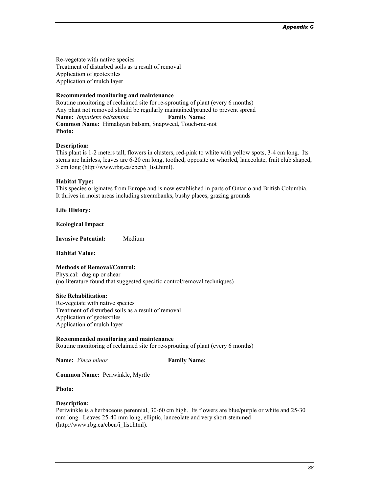Re-vegetate with native species Treatment of disturbed soils as a result of removal Application of geotextiles Application of mulch layer

#### **Recommended monitoring and maintenance**

Routine monitoring of reclaimed site for re-sprouting of plant (every 6 months) Any plant not removed should be regularly maintained/pruned to prevent spread **Name:** *Impatiens balsamina* **Family Name: Common Name:** Himalayan balsam, Snapweed, Touch-me-not **Photo:**

#### **Description:**

This plant is 1-2 meters tall, flowers in clusters, red-pink to white with yellow spots, 3-4 cm long. Its stems are hairless, leaves are 6-20 cm long, toothed, opposite or whorled, lanceolate, fruit club shaped, 3 cm long (http://www.rbg.ca/cbcn/i\_list.html).

#### **Habitat Type:**

This species originates from Europe and is now established in parts of Ontario and British Columbia. It thrives in moist areas including streambanks, bushy places, grazing grounds

**Life History:** 

**Ecological Impact**

**Invasive Potential:** Medium

**Habitat Value:**

#### **Methods of Removal/Control:**

Physical: dug up or shear (no literature found that suggested specific control/removal techniques)

#### **Site Rehabilitation:**

Re-vegetate with native species Treatment of disturbed soils as a result of removal Application of geotextiles Application of mulch layer

#### **Recommended monitoring and maintenance**

Routine monitoring of reclaimed site for re-sprouting of plant (every 6 months)

**Name:** *Vinca minor* **Family Name:** 

**Common Name:** Periwinkle, Myrtle

#### **Photo:**

#### **Description:**

Periwinkle is a herbaceous perennial, 30-60 cm high. Its flowers are blue/purple or white and 25-30 mm long. Leaves 25-40 mm long, elliptic, lanceolate and very short-stemmed (http://www.rbg.ca/cbcn/i\_list.html).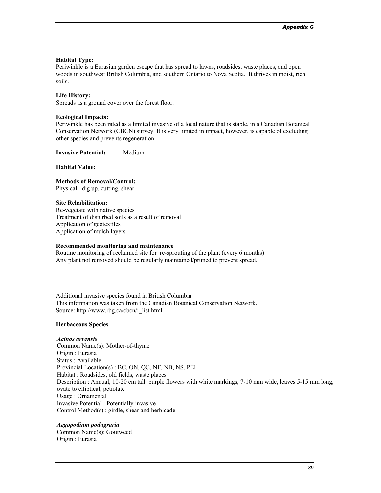#### **Habitat Type:**

Periwinkle is a Eurasian garden escape that has spread to lawns, roadsides, waste places, and open woods in southwest British Columbia, and southern Ontario to Nova Scotia. It thrives in moist, rich soils.

#### **Life History:**

Spreads as a ground cover over the forest floor.

#### **Ecological Impacts:**

Periwinkle has been rated as a limited invasive of a local nature that is stable, in a Canadian Botanical Conservation Network (CBCN) survey. It is very limited in impact, however, is capable of excluding other species and prevents regeneration.

**Invasive Potential:** Medium

#### **Habitat Value:**

**Methods of Removal/Control:**  Physical: dig up, cutting, shear

#### **Site Rehabilitation:**

Re-vegetate with native species Treatment of disturbed soils as a result of removal Application of geotextiles Application of mulch layers

#### **Recommended monitoring and maintenance**

Routine monitoring of reclaimed site for re-sprouting of the plant (every 6 months) Any plant not removed should be regularly maintained/pruned to prevent spread.

Additional invasive species found in British Columbia This information was taken from the Canadian Botanical Conservation Network. Source: http://www.rbg.ca/cbcn/i\_list.html

#### **Herbaceous Species**

#### *Acinos arvensis*

Common Name(s): Mother-of-thyme Origin : Eurasia Status : Available Provincial Location(s) : BC, ON, QC, NF, NB, NS, PEI Habitat : Roadsides, old fields, waste places Description : Annual, 10-20 cm tall, purple flowers with white markings, 7-10 mm wide, leaves 5-15 mm long, ovate to elliptical, petiolate Usage : Ornamental Invasive Potential : Potentially invasive Control Method(s) : girdle, shear and herbicade

#### *Aegopodium podagraria*

Common Name(s): Goutweed Origin : Eurasia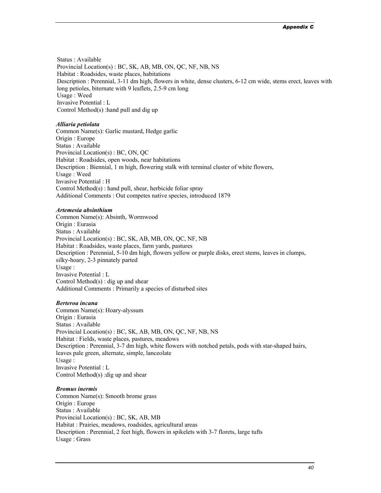Status : Available Provincial Location(s) : BC, SK, AB, MB, ON, QC, NF, NB, NS Habitat : Roadsides, waste places, habitations Description : Perennial, 3-11 dm high, flowers in white, dense clusters, 6-12 cm wide, stems erect, leaves with long petioles, biternate with 9 leaflets, 2.5-9 cm long Usage : Weed Invasive Potential : L Control Method(s) :hand pull and dig up

#### *Alliaria petiolata*

Common Name(s): Garlic mustard, Hedge garlic Origin : Europe Status : Available Provincial Location(s) : BC, ON, QC Habitat : Roadsides, open woods, near habitations Description : Biennial, 1 m high, flowering stalk with terminal cluster of white flowers, Usage : Weed Invasive Potential : H Control Method(s) : hand pull, shear, herbicide foliar spray Additional Comments : Out competes native species, introduced 1879

#### *Artemesia absinthium*

Common Name(s): Absinth, Wormwood Origin : Eurasia Status : Available Provincial Location(s) : BC, SK, AB, MB, ON, QC, NF, NB Habitat : Roadsides, waste places, farm yards, pastures Description : Perennial, 5-10 dm high, flowers yellow or purple disks, erect stems, leaves in clumps, silky-hoary, 2-3 pinnately parted Usage : Invasive Potential : L Control Method(s) : dig up and shear Additional Comments : Primarily a species of disturbed sites

#### *Berteroa incana*

Common Name(s): Hoary-alyssum Origin : Eurasia Status : Available Provincial Location(s) : BC, SK, AB, MB, ON, QC, NF, NB, NS Habitat : Fields, waste places, pastures, meadows Description : Perennial, 3-7 dm high, white flowers with notched petals, pods with star-shaped hairs, leaves pale green, alternate, simple, lanceolate Usage : Invasive Potential : L Control Method(s) :dig up and shear

#### *Bromus inermis*

Common Name(s): Smooth brome grass Origin : Europe Status : Available Provincial Location(s) : BC, SK, AB, MB Habitat : Prairies, meadows, roadsides, agricultural areas Description : Perennial, 2 feet high, flowers in spikelets with 3-7 florets, large tufts Usage : Grass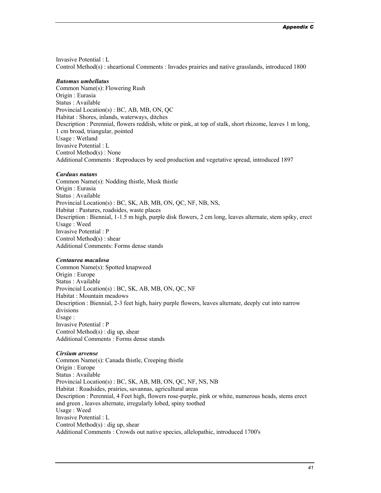Invasive Potential : L Control Method(s) : sheartional Comments : Invades prairies and native grasslands, introduced 1800

#### *Butomus umbellatus*

Common Name(s): Flowering Rush Origin : Eurasia Status : Available Provincial Location(s) : BC, AB, MB, ON, QC Habitat : Shores, inlands, waterways, ditches Description : Perennial, flowers reddish, white or pink, at top of stalk, short rhizome, leaves 1 m long, 1 cm broad, triangular, pointed Usage : Wetland Invasive Potential : L Control Method(s) : None Additional Comments : Reproduces by seed production and vegetative spread, introduced 1897

#### *Carduus nutans*

Common Name(s): Nodding thistle, Musk thistle Origin : Eurasia Status : Available Provincial Location(s) : BC, SK, AB, MB, ON, QC, NF, NB, NS, Habitat : Pastures, roadsides, waste places Description : Biennial, 1-1.5 m high, purple disk flowers, 2 cm long, leaves alternate, stem spiky, erect Usage : Weed Invasive Potential : P Control Method(s) : shear Additional Comments: Forms dense stands

#### *Centaurea maculosa*

Common Name(s): Spotted knapweed Origin : Europe Status : Available Provincial Location(s) : BC, SK, AB, MB, ON, QC, NF Habitat : Mountain meadows Description : Biennial, 2-3 feet high, hairy purple flowers, leaves alternate, deeply cut into narrow divisions Usage : Invasive Potential : P Control Method(s) : dig up, shear Additional Comments : Forms dense stands

#### *Cirsium arvense*

Common Name(s): Canada thistle, Creeping thistle Origin : Europe Status : Available Provincial Location(s) : BC, SK, AB, MB, ON, QC, NF, NS, NB Habitat : Roadsides, prairies, savannas, agricultural areas Description : Perennial, 4 Feet high, flowers rose-purple, pink or white, numerous heads, stems erect and green , leaves alternate, irregularly lobed, spiny toothed Usage : Weed Invasive Potential : L Control Method(s) : dig up, shear Additional Comments : Crowds out native species, allelopathic, introduced 1700's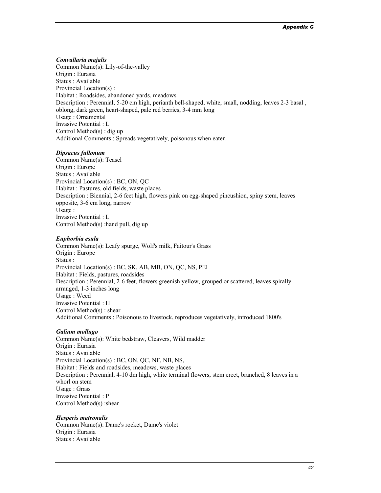#### *Convallaria majalis*

Common Name(s): Lily-of-the-valley Origin : Eurasia Status : Available Provincial Location(s) : Habitat : Roadsides, abandoned yards, meadows Description : Perennial, 5-20 cm high, perianth bell-shaped, white, small, nodding, leaves 2-3 basal , oblong, dark green, heart-shaped, pale red berries, 3-4 mm long Usage : Ornamental Invasive Potential : L Control Method(s) : dig up Additional Comments : Spreads vegetatively, poisonous when eaten

#### *Dipsacus fullonum*

Common Name(s): Teasel Origin : Europe Status : Available Provincial Location(s) : BC, ON, QC Habitat : Pastures, old fields, waste places Description : Biennial, 2-6 feet high, flowers pink on egg-shaped pincushion, spiny stem, leaves opposite, 3-6 cm long, narrow Usage : Invasive Potential : L Control Method(s) :hand pull, dig up

#### *Euphorbia esula*

Common Name(s): Leafy spurge, Wolf's milk, Faitour's Grass Origin : Europe Status : Provincial Location(s) : BC, SK, AB, MB, ON, QC, NS, PEI Habitat : Fields, pastures, roadsides Description : Perennial, 2-6 feet, flowers greenish yellow, grouped or scattered, leaves spirally arranged, 1-3 inches long Usage : Weed Invasive Potential : H Control Method(s) : shear Additional Comments : Poisonous to livestock, reproduces vegetatively, introduced 1800's

#### *Galium mollugo*

Common Name(s): White bedstraw, Cleavers, Wild madder Origin : Eurasia Status : Available Provincial Location(s) : BC, ON, QC, NF, NB, NS, Habitat : Fields and roadsides, meadows, waste places Description : Perennial, 4-10 dm high, white terminal flowers, stem erect, branched, 8 leaves in a whorl on stem Usage : Grass Invasive Potential : P Control Method(s) :shear

#### *Hesperis matronalis*

Common Name(s): Dame's rocket, Dame's violet Origin : Eurasia Status : Available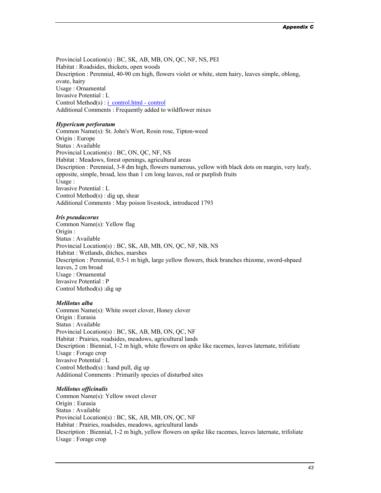Provincial Location(s) : BC, SK, AB, MB, ON, QC, NF, NS, PEI Habitat : Roadsides, thickets, open woods Description : Perennial, 40-90 cm high, flowers violet or white, stem hairy, leaves simple, oblong, ovate, hairy Usage : Ornamental Invasive Potential : L Control Method(s) : *i\_control.html* - control Additional Comments : Frequently added to wildflower mixes

#### *Hypericum perforatum*

Common Name(s): St. John's Wort, Rosin rose, Tipton-weed Origin : Europe Status : Available Provincial Location(s) : BC, ON, QC, NF, NS Habitat : Meadows, forest openings, agricultural areas Description : Perennial, 3-8 dm high, flowers numerous, yellow with black dots on margin, very leafy, opposite, simple, broad, less than 1 cm long leaves, red or purplish fruits Usage : Invasive Potential : L Control Method(s) : dig up, shear Additional Comments : May poison livestock, introduced 1793

#### *Iris pseudacorus*

Common Name(s): Yellow flag Origin : Status : Available Provincial Location(s) : BC, SK, AB, MB, ON, QC, NF, NB, NS Habitat : Wetlands, ditches, marshes Description : Perennial, 0.5-1 m high, large yellow flowers, thick branches rhizome, sword-shpaed leaves, 2 cm broad Usage : Ornamental Invasive Potential : P Control Method(s) :dig up

#### *Melilotus alba*

Common Name(s): White sweet clover, Honey clover Origin : Eurasia Status : Available Provincial Location(s) : BC, SK, AB, MB, ON, QC, NF Habitat : Prairies, roadsides, meadows, agricultural lands Description : Biennial, 1-2 m high, white flowers on spike like racemes, leaves laternate, trifoliate Usage : Forage crop Invasive Potential : L Control Method(s) : hand pull, dig up Additional Comments : Primarily species of disturbed sites

#### *Melilotus officinalis*

Common Name(s): Yellow sweet clover Origin : Eurasia Status : Available Provincial Location(s) : BC, SK, AB, MB, ON, QC, NF Habitat : Prairies, roadsides, meadows, agricultural lands Description : Biennial, 1-2 m high, yellow flowers on spike like racemes, leaves laternate, trifoliate Usage : Forage crop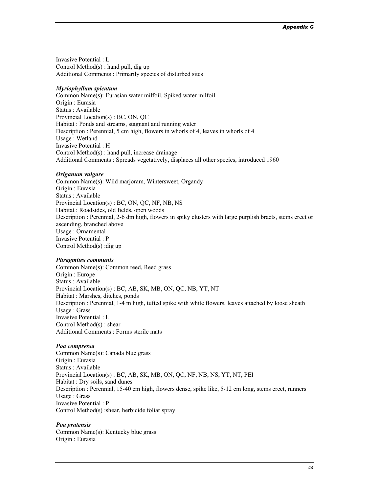Invasive Potential : L Control Method $(s)$ : hand pull, dig up Additional Comments : Primarily species of disturbed sites

#### *Myriophyllum spicatum*

Common Name(s): Eurasian water milfoil, Spiked water milfoil Origin : Eurasia Status : Available Provincial Location(s) : BC, ON, QC Habitat : Ponds and streams, stagnant and running water Description : Perennial, 5 cm high, flowers in whorls of 4, leaves in whorls of 4 Usage : Wetland Invasive Potential : H Control Method(s) : hand pull, increase drainage Additional Comments : Spreads vegetatively, displaces all other species, introduced 1960

#### *Origanum vulgare*

Common Name(s): Wild marjoram, Wintersweet, Organdy Origin : Eurasia Status : Available Provincial Location(s) : BC, ON, QC, NF, NB, NS Habitat : Roadsides, old fields, open woods Description : Perennial, 2-6 dm high, flowers in spiky clusters with large purplish bracts, stems erect or ascending, branched above Usage : Ornamental Invasive Potential : P Control Method(s) :dig up

#### *Phragmites communis*

Common Name(s): Common reed, Reed grass Origin : Europe Status : Available Provincial Location(s) : BC, AB, SK, MB, ON, QC, NB, YT, NT Habitat : Marshes, ditches, ponds Description : Perennial, 1-4 m high, tufted spike with white flowers, leaves attached by loose sheath Usage : Grass Invasive Potential : L Control Method(s) : shear Additional Comments : Forms sterile mats

#### *Poa compressa*

Common Name(s): Canada blue grass Origin : Eurasia Status : Available Provincial Location(s) : BC, AB, SK, MB, ON, QC, NF, NB, NS, YT, NT, PEI Habitat : Dry soils, sand dunes Description : Perennial, 15-40 cm high, flowers dense, spike like, 5-12 cm long, stems erect, runners Usage : Grass Invasive Potential : P Control Method(s) :shear, herbicide foliar spray

#### *Poa pratensis*

Common Name(s): Kentucky blue grass Origin : Eurasia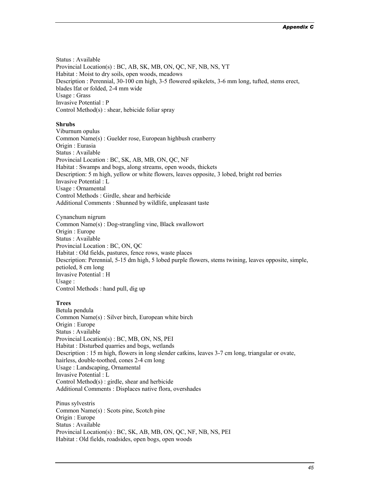Status : Available Provincial Location(s) : BC, AB, SK, MB, ON, QC, NF, NB, NS, YT Habitat : Moist to dry soils, open woods, meadows Description : Perennial, 30-100 cm high, 3-5 flowered spikelets, 3-6 mm long, tufted, stems erect, blades lfat or folded, 2-4 mm wide Usage : Grass Invasive Potential : P Control Method(s) : shear, hebicide foliar spray

#### **Shrubs**

Viburnum opulus Common Name(s) : Guelder rose, European highbush cranberry Origin : Eurasia Status : Available Provincial Location : BC, SK, AB, MB, ON, QC, NF Habitat : Swamps and bogs, along streams, open woods, thickets Description: 5 m high, yellow or white flowers, leaves opposite, 3 lobed, bright red berries Invasive Potential : L Usage : Ornamental Control Methods : Girdle, shear and herbicide Additional Comments : Shunned by wildlife, unpleasant taste

Cynanchum nigrum Common Name(s) : Dog-strangling vine, Black swallowort Origin : Europe Status : Available Provincial Location : BC, ON, QC Habitat : Old fields, pastures, fence rows, waste places Description: Perennial, 5-15 dm high, 5 lobed purple flowers, stems twining, leaves opposite, simple, petioled, 8 cm long Invasive Potential : H Usage : Control Methods : hand pull, dig up

#### **Trees**

Betula pendula Common Name(s) : Silver birch, European white birch Origin : Europe Status : Available Provincial Location(s) : BC, MB, ON, NS, PEI Habitat : Disturbed quarries and bogs, wetlands Description : 15 m high, flowers in long slender catkins, leaves 3-7 cm long, triangular or ovate, hairless, double-toothed, cones 2-4 cm long Usage : Landscaping, Ornamental Invasive Potential : L Control Method(s) : girdle, shear and herbicide Additional Comments : Displaces native flora, overshades

Pinus sylvestris Common Name(s) : Scots pine, Scotch pine Origin : Europe Status : Available Provincial Location(s) : BC, SK, AB, MB, ON, QC, NF, NB, NS, PEI Habitat : Old fields, roadsides, open bogs, open woods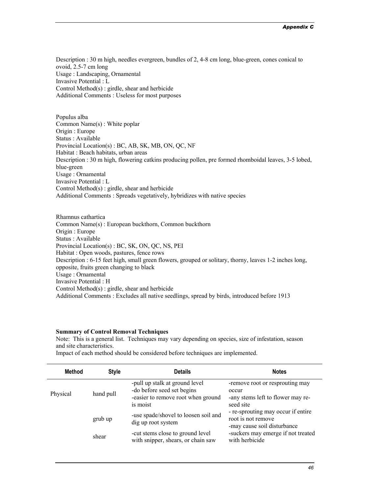Description : 30 m high, needles evergreen, bundles of 2, 4-8 cm long, blue-green, cones conical to ovoid, 2.5-7 cm long Usage : Landscaping, Ornamental Invasive Potential : L Control Method(s) : girdle, shear and herbicide Additional Comments : Useless for most purposes

Populus alba Common Name(s) : White poplar Origin : Europe Status : Available Provincial Location(s) : BC, AB, SK, MB, ON, QC, NF Habitat : Beach habitats, urban areas Description : 30 m high, flowering catkins producing pollen, pre formed rhomboidal leaves, 3-5 lobed, blue-green Usage : Ornamental Invasive Potential : L Control Method(s) : girdle, shear and herbicide Additional Comments : Spreads vegetatively, hybridizes with native species

Rhamnus cathartica Common Name(s) : European buckthorn, Common buckthorn Origin : Europe Status : Available Provincial Location(s) : BC, SK, ON, QC, NS, PEI Habitat : Open woods, pastures, fence rows Description : 6-15 feet high, small green flowers, grouped or solitary, thorny, leaves 1-2 inches long, opposite, fruits green changing to black Usage : Ornamental Invasive Potential : H Control Method(s) : girdle, shear and herbicide Additional Comments : Excludes all native seedlings, spread by birds, introduced before 1913

#### **Summary of Control Removal Techniques**

Note: This is a general list. Techniques may vary depending on species, size of infestation, season and site characteristics.

Impact of each method should be considered before techniques are implemented.

| <b>Method</b> | <b>Style</b> | <b>Details</b>                                                                                                 | <b>Notes</b>                                                                               |
|---------------|--------------|----------------------------------------------------------------------------------------------------------------|--------------------------------------------------------------------------------------------|
| Physical      | hand pull    | -pull up stalk at ground level<br>-do before seed set begins<br>-easier to remove root when ground<br>is moist | -remove root or resprouting may<br>occur<br>-any stems left to flower may re-<br>seed site |
|               | grub up      | -use spade/shovel to loosen soil and<br>dig up root system                                                     | - re-sprouting may occur if entire<br>root is not remove<br>-may cause soil disturbance    |
|               | shear        | -cut stems close to ground level<br>with snipper, shears, or chain saw                                         | -suckers may emerge if not treated<br>with herbicide                                       |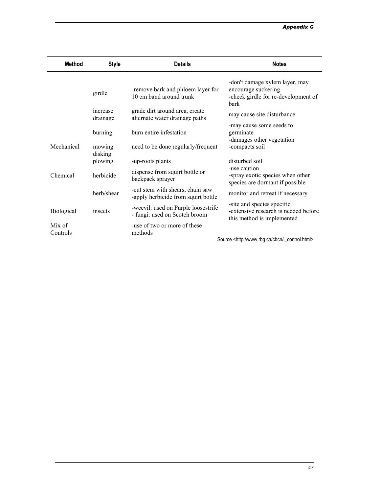#### *Appendix C*

| Method             | <b>Style</b>         | <b>Details</b>                                                          | <b>Notes</b>                                                                                         |
|--------------------|----------------------|-------------------------------------------------------------------------|------------------------------------------------------------------------------------------------------|
|                    | girdle               | -remove bark and phloem layer for<br>10 cm band around trunk            | -don't damage xylem layer, may<br>encourage suckering<br>-check girdle for re-development of<br>bark |
|                    | increase<br>drainage | grade dirt around area, create<br>alternate water drainage paths        | may cause site disturbance                                                                           |
|                    | burning              | burn entire infestation                                                 | -may cause some seeds to<br>germinate<br>-damages other vegetation                                   |
| Mechanical         | mowing<br>disking    | need to be done regularly/frequent                                      | -compacts soil                                                                                       |
|                    | plowing              | -up-roots plants                                                        | disturbed soil                                                                                       |
| Chemical           | herbicide            | dispense from squirt bottle or<br>backpack sprayer                      | -use caution<br>-spray exotic species when other<br>species are dormant if possible                  |
|                    | herb/shear           | -cut stem with shears, chain saw<br>-apply herbicide from squirt bottle | monitor and retreat if necessary                                                                     |
| <b>Biological</b>  | insects              | -weevil: used on Purple loosestrife<br>- fungi: used on Scotch broom    | -site and species specific<br>-extensive research is needed before<br>this method is implemented     |
| Mix of<br>Controls |                      | -use of two or more of these<br>methods                                 |                                                                                                      |
|                    |                      |                                                                         | Source <http: cbcn="" i_control.html="" www.rbg.ca=""></http:>                                       |